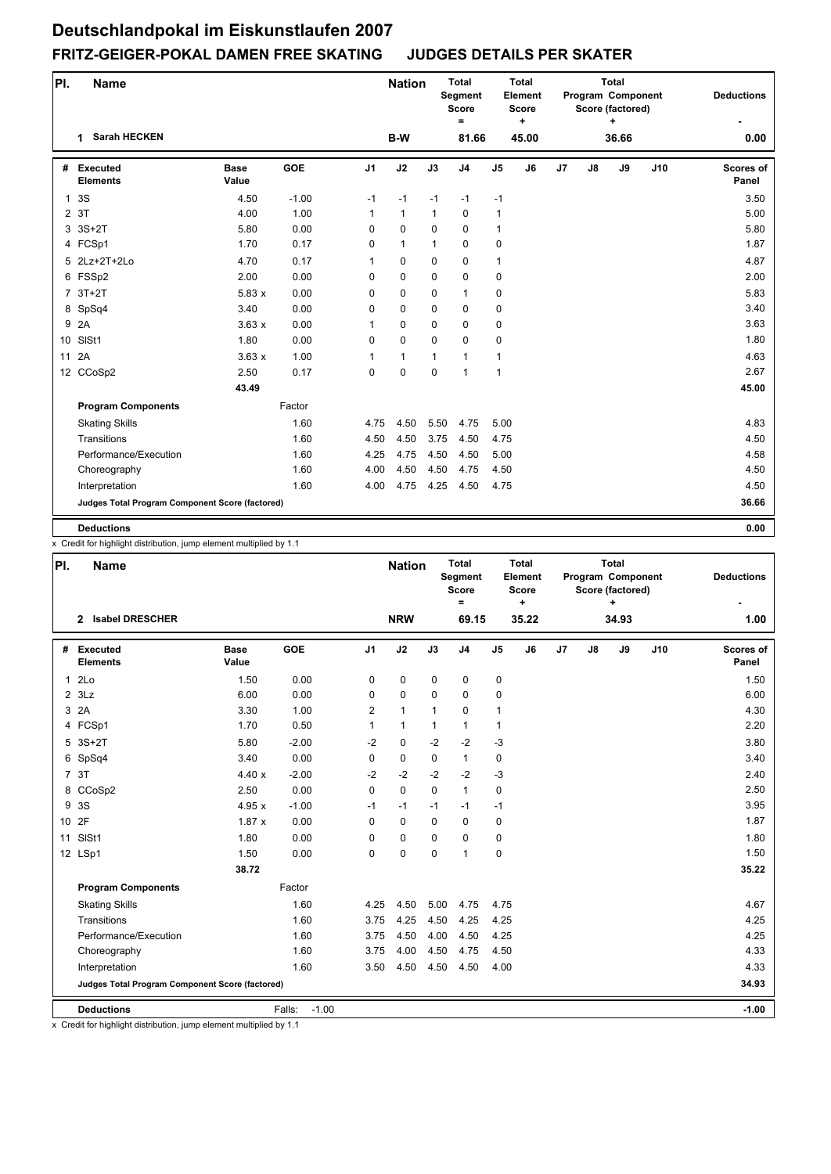| PI.          | <b>Name</b>                                     |                      |            |                | <b>Nation</b> |              | <b>Total</b><br>Segment<br><b>Score</b><br>Ξ |                | <b>Total</b><br>Element<br><b>Score</b><br>٠ |    |               | <b>Total</b><br>Program Component<br>Score (factored)<br>٠ |     | <b>Deductions</b>  |
|--------------|-------------------------------------------------|----------------------|------------|----------------|---------------|--------------|----------------------------------------------|----------------|----------------------------------------------|----|---------------|------------------------------------------------------------|-----|--------------------|
|              | <b>Sarah HECKEN</b><br>1                        |                      |            |                | B-W           |              | 81.66                                        |                | 45.00                                        |    |               | 36.66                                                      |     | 0.00               |
| #            | <b>Executed</b><br><b>Elements</b>              | <b>Base</b><br>Value | <b>GOE</b> | J <sub>1</sub> | J2            | J3           | J <sub>4</sub>                               | J <sub>5</sub> | J6                                           | J7 | $\mathsf{J}8$ | J9                                                         | J10 | Scores of<br>Panel |
| $\mathbf{1}$ | 3S                                              | 4.50                 | $-1.00$    | $-1$           | $-1$          | $-1$         | $-1$                                         | $-1$           |                                              |    |               |                                                            |     | 3.50               |
|              | 2 3T                                            | 4.00                 | 1.00       | $\mathbf{1}$   | $\mathbf{1}$  | $\mathbf{1}$ | $\mathbf 0$                                  | 1              |                                              |    |               |                                                            |     | 5.00               |
|              | 3 3S+2T                                         | 5.80                 | 0.00       | 0              | $\mathbf 0$   | $\mathbf 0$  | $\mathbf 0$                                  | 1              |                                              |    |               |                                                            |     | 5.80               |
|              | 4 FCSp1                                         | 1.70                 | 0.17       | 0              | $\mathbf{1}$  | $\mathbf{1}$ | 0                                            | 0              |                                              |    |               |                                                            |     | 1.87               |
|              | 5 2Lz+2T+2Lo                                    | 4.70                 | 0.17       | $\mathbf{1}$   | $\mathbf 0$   | $\mathbf 0$  | $\mathbf 0$                                  | $\mathbf{1}$   |                                              |    |               |                                                            |     | 4.87               |
|              | 6 FSSp2                                         | 2.00                 | 0.00       | $\Omega$       | 0             | $\Omega$     | $\mathbf 0$                                  | 0              |                                              |    |               |                                                            |     | 2.00               |
|              | $7.3T+2T$                                       | 5.83x                | 0.00       | 0              | 0             | $\mathbf 0$  | $\mathbf{1}$                                 | 0              |                                              |    |               |                                                            |     | 5.83               |
|              | 8 SpSq4                                         | 3.40                 | 0.00       | $\mathbf 0$    | $\mathbf 0$   | $\mathbf 0$  | $\mathbf 0$                                  | 0              |                                              |    |               |                                                            |     | 3.40               |
| 9            | 2A                                              | 3.63x                | 0.00       | 1              | $\pmb{0}$     | $\mathbf 0$  | 0                                            | 0              |                                              |    |               |                                                            |     | 3.63               |
|              | 10 SISt1                                        | 1.80                 | 0.00       | $\mathbf 0$    | $\mathbf 0$   | $\Omega$     | $\mathbf 0$                                  | 0              |                                              |    |               |                                                            |     | 1.80               |
| 11           | 2A                                              | 3.63x                | 1.00       | 1              | $\mathbf{1}$  | 1            | $\mathbf{1}$                                 | 1              |                                              |    |               |                                                            |     | 4.63               |
|              | 12 CCoSp2                                       | 2.50                 | 0.17       | $\Omega$       | $\mathbf 0$   | $\Omega$     | $\mathbf{1}$                                 | $\mathbf{1}$   |                                              |    |               |                                                            |     | 2.67               |
|              |                                                 | 43.49                |            |                |               |              |                                              |                |                                              |    |               |                                                            |     | 45.00              |
|              | <b>Program Components</b>                       |                      | Factor     |                |               |              |                                              |                |                                              |    |               |                                                            |     |                    |
|              | <b>Skating Skills</b>                           |                      | 1.60       | 4.75           | 4.50          | 5.50         | 4.75                                         | 5.00           |                                              |    |               |                                                            |     | 4.83               |
|              | Transitions                                     |                      | 1.60       | 4.50           | 4.50          | 3.75         | 4.50                                         | 4.75           |                                              |    |               |                                                            |     | 4.50               |
|              | Performance/Execution                           |                      | 1.60       | 4.25           | 4.75          | 4.50         | 4.50                                         | 5.00           |                                              |    |               |                                                            |     | 4.58               |
|              | Choreography                                    |                      | 1.60       | 4.00           | 4.50          | 4.50         | 4.75                                         | 4.50           |                                              |    |               |                                                            |     | 4.50               |
|              | Interpretation                                  |                      | 1.60       | 4.00           | 4.75          | 4.25         | 4.50                                         | 4.75           |                                              |    |               |                                                            |     | 4.50               |
|              | Judges Total Program Component Score (factored) |                      |            |                |               |              |                                              |                |                                              |    |               |                                                            |     | 36.66              |
|              | <b>Deductions</b>                               |                      |            |                |               |              |                                              |                |                                              |    |               |                                                            |     | 0.00               |

x Credit for highlight distribution, jump element multiplied by 1.1

| PI. | <b>Name</b>                                     |                      |                   |                | <b>Nation</b> |              | <b>Total</b><br><b>Segment</b><br><b>Score</b><br>$\equiv$ |                | <b>Total</b><br>Element<br><b>Score</b><br>$\ddot{}$ |    |               | <b>Total</b><br>Program Component<br>Score (factored)<br>٠ |     | <b>Deductions</b>  |
|-----|-------------------------------------------------|----------------------|-------------------|----------------|---------------|--------------|------------------------------------------------------------|----------------|------------------------------------------------------|----|---------------|------------------------------------------------------------|-----|--------------------|
|     | <b>Isabel DRESCHER</b><br>$\mathbf{2}$          |                      |                   |                | <b>NRW</b>    |              | 69.15                                                      |                | 35.22                                                |    |               | 34.93                                                      |     | 1.00               |
|     | # Executed<br><b>Elements</b>                   | <b>Base</b><br>Value | <b>GOE</b>        | J <sub>1</sub> | J2            | J3           | J <sub>4</sub>                                             | J <sub>5</sub> | J6                                                   | J7 | $\mathsf{J}8$ | J9                                                         | J10 | Scores of<br>Panel |
|     | 12Lo                                            | 1.50                 | 0.00              | 0              | 0             | $\mathbf 0$  | $\mathbf 0$                                                | 0              |                                                      |    |               |                                                            |     | 1.50               |
|     | $2$ $3Lz$                                       | 6.00                 | 0.00              | 0              | $\mathbf 0$   | $\Omega$     | $\mathbf 0$                                                | 0              |                                                      |    |               |                                                            |     | 6.00               |
|     | 3 2A                                            | 3.30                 | 1.00              | $\overline{2}$ | $\mathbf{1}$  | $\mathbf{1}$ | $\Omega$                                                   | $\mathbf{1}$   |                                                      |    |               |                                                            |     | 4.30               |
|     | 4 FCSp1                                         | 1.70                 | 0.50              | $\mathbf{1}$   | $\mathbf{1}$  | $\mathbf{1}$ | $\mathbf{1}$                                               | $\mathbf{1}$   |                                                      |    |               |                                                            |     | 2.20               |
|     | 5 3S+2T                                         | 5.80                 | $-2.00$           | $-2$           | $\mathbf 0$   | $-2$         | $-2$                                                       | $-3$           |                                                      |    |               |                                                            |     | 3.80               |
|     | 6 SpSq4                                         | 3.40                 | 0.00              | 0              | $\mathbf 0$   | $\mathbf 0$  | $\mathbf{1}$                                               | 0              |                                                      |    |               |                                                            |     | 3.40               |
|     | 7 3T                                            | 4.40x                | $-2.00$           | $-2$           | $-2$          | $-2$         | $-2$                                                       | $-3$           |                                                      |    |               |                                                            |     | 2.40               |
|     | 8 CCoSp2                                        | 2.50                 | 0.00              | 0              | $\mathbf 0$   | $\Omega$     | $\mathbf{1}$                                               | 0              |                                                      |    |               |                                                            |     | 2.50               |
| 9   | 3S                                              | 4.95 $x$             | $-1.00$           | $-1$           | $-1$          | $-1$         | $-1$                                                       | $-1$           |                                                      |    |               |                                                            |     | 3.95               |
|     | 10 2F                                           | 1.87x                | 0.00              | $\Omega$       | $\mathbf 0$   | $\Omega$     | $\Omega$                                                   | 0              |                                                      |    |               |                                                            |     | 1.87               |
| 11  | SISt1                                           | 1.80                 | 0.00              | 0              | $\mathbf 0$   | $\Omega$     | $\Omega$                                                   | 0              |                                                      |    |               |                                                            |     | 1.80               |
|     | 12 LSp1                                         | 1.50                 | 0.00              | 0              | 0             | $\mathbf 0$  | 1                                                          | $\pmb{0}$      |                                                      |    |               |                                                            |     | 1.50               |
|     |                                                 | 38.72                |                   |                |               |              |                                                            |                |                                                      |    |               |                                                            |     | 35.22              |
|     | <b>Program Components</b>                       |                      | Factor            |                |               |              |                                                            |                |                                                      |    |               |                                                            |     |                    |
|     | <b>Skating Skills</b>                           |                      | 1.60              | 4.25           | 4.50          | 5.00         | 4.75                                                       | 4.75           |                                                      |    |               |                                                            |     | 4.67               |
|     | Transitions                                     |                      | 1.60              | 3.75           | 4.25          | 4.50         | 4.25                                                       | 4.25           |                                                      |    |               |                                                            |     | 4.25               |
|     | Performance/Execution                           |                      | 1.60              | 3.75           | 4.50          | 4.00         | 4.50                                                       | 4.25           |                                                      |    |               |                                                            |     | 4.25               |
|     | Choreography                                    |                      | 1.60              | 3.75           | 4.00          | 4.50         | 4.75                                                       | 4.50           |                                                      |    |               |                                                            |     | 4.33               |
|     | Interpretation                                  |                      | 1.60              | 3.50           | 4.50          | 4.50         | 4.50                                                       | 4.00           |                                                      |    |               |                                                            |     | 4.33               |
|     | Judges Total Program Component Score (factored) |                      |                   |                |               |              |                                                            |                |                                                      |    |               |                                                            |     | 34.93              |
|     | <b>Deductions</b>                               |                      | $-1.00$<br>Falls: |                |               |              |                                                            |                |                                                      |    |               |                                                            |     | $-1.00$            |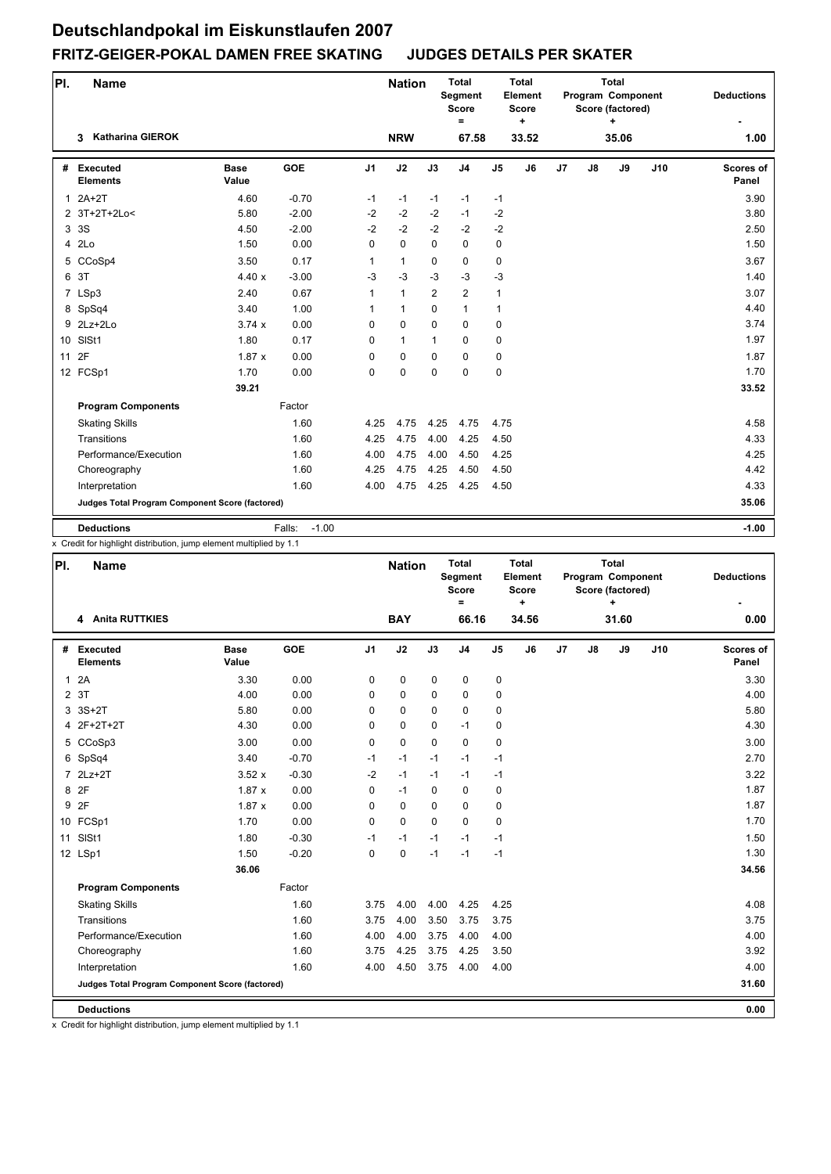| PI.            | <b>Name</b>                                     |                      |                   |                | <b>Nation</b> |              | <b>Total</b><br>Segment<br><b>Score</b><br>= |                | <b>Total</b><br>Element<br><b>Score</b><br>٠ |                |    | <b>Total</b><br>Program Component<br>Score (factored)<br>٠ |     | <b>Deductions</b>  |
|----------------|-------------------------------------------------|----------------------|-------------------|----------------|---------------|--------------|----------------------------------------------|----------------|----------------------------------------------|----------------|----|------------------------------------------------------------|-----|--------------------|
|                | <b>Katharina GIEROK</b><br>3                    |                      |                   |                | <b>NRW</b>    |              | 67.58                                        |                | 33.52                                        |                |    | 35.06                                                      |     | 1.00               |
| #              | Executed<br><b>Elements</b>                     | <b>Base</b><br>Value | <b>GOE</b>        | J <sub>1</sub> | J2            | J3           | J <sub>4</sub>                               | J <sub>5</sub> | J6                                           | J <sub>7</sub> | J8 | J9                                                         | J10 | Scores of<br>Panel |
| $\mathbf{1}$   | $2A+2T$                                         | 4.60                 | $-0.70$           | $-1$           | $-1$          | $-1$         | $-1$                                         | $-1$           |                                              |                |    |                                                            |     | 3.90               |
|                | 2 3T+2T+2Lo<                                    | 5.80                 | $-2.00$           | $-2$           | $-2$          | $-2$         | $-1$                                         | $-2$           |                                              |                |    |                                                            |     | 3.80               |
| 3              | 3S                                              | 4.50                 | $-2.00$           | $-2$           | $-2$          | $-2$         | $-2$                                         | $-2$           |                                              |                |    |                                                            |     | 2.50               |
| $\overline{4}$ | 2 <sub>LO</sub>                                 | 1.50                 | 0.00              | $\mathbf 0$    | $\mathbf 0$   | 0            | $\mathbf 0$                                  | 0              |                                              |                |    |                                                            |     | 1.50               |
| 5              | CCoSp4                                          | 3.50                 | 0.17              | 1              | $\mathbf{1}$  | 0            | $\mathbf 0$                                  | 0              |                                              |                |    |                                                            |     | 3.67               |
|                | 6 3T                                            | 4.40x                | $-3.00$           | $-3$           | $-3$          | $-3$         | $-3$                                         | $-3$           |                                              |                |    |                                                            |     | 1.40               |
|                | 7 LSp3                                          | 2.40                 | 0.67              | $\mathbf{1}$   | $\mathbf{1}$  | 2            | 2                                            | $\mathbf{1}$   |                                              |                |    |                                                            |     | 3.07               |
|                | 8 SpSq4                                         | 3.40                 | 1.00              | $\mathbf{1}$   | $\mathbf{1}$  | $\mathbf 0$  | $\mathbf{1}$                                 | $\mathbf{1}$   |                                              |                |    |                                                            |     | 4.40               |
| 9              | 2Lz+2Lo                                         | 3.74x                | 0.00              | $\Omega$       | $\mathbf 0$   | $\mathbf 0$  | $\mathbf 0$                                  | 0              |                                              |                |    |                                                            |     | 3.74               |
|                | 10 SISt1                                        | 1.80                 | 0.17              | $\Omega$       | $\mathbf{1}$  | $\mathbf{1}$ | $\Omega$                                     | 0              |                                              |                |    |                                                            |     | 1.97               |
| 11             | 2F                                              | 1.87x                | 0.00              | 0              | $\mathbf 0$   | $\mathbf 0$  | $\mathbf 0$                                  | 0              |                                              |                |    |                                                            |     | 1.87               |
|                | 12 FCSp1                                        | 1.70                 | 0.00              | 0              | 0             | $\Omega$     | $\mathbf 0$                                  | 0              |                                              |                |    |                                                            |     | 1.70               |
|                |                                                 | 39.21                |                   |                |               |              |                                              |                |                                              |                |    |                                                            |     | 33.52              |
|                | <b>Program Components</b>                       |                      | Factor            |                |               |              |                                              |                |                                              |                |    |                                                            |     |                    |
|                | <b>Skating Skills</b>                           |                      | 1.60              | 4.25           | 4.75          | 4.25         | 4.75                                         | 4.75           |                                              |                |    |                                                            |     | 4.58               |
|                | Transitions                                     |                      | 1.60              | 4.25           | 4.75          | 4.00         | 4.25                                         | 4.50           |                                              |                |    |                                                            |     | 4.33               |
|                | Performance/Execution                           |                      | 1.60              | 4.00           | 4.75          | 4.00         | 4.50                                         | 4.25           |                                              |                |    |                                                            |     | 4.25               |
|                | Choreography                                    |                      | 1.60              | 4.25           | 4.75          | 4.25         | 4.50                                         | 4.50           |                                              |                |    |                                                            |     | 4.42               |
|                | Interpretation                                  |                      | 1.60              | 4.00           | 4.75          | 4.25         | 4.25                                         | 4.50           |                                              |                |    |                                                            |     | 4.33               |
|                | Judges Total Program Component Score (factored) |                      |                   |                |               |              |                                              |                |                                              |                |    |                                                            |     | 35.06              |
|                | <b>Deductions</b>                               |                      | $-1.00$<br>Falls: |                |               |              |                                              |                |                                              |                |    |                                                            |     | $-1.00$            |

x Credit for highlight distribution, jump element multiplied by 1.1

| PI.            | <b>Name</b>                                     |                      |            |          | <b>Nation</b> |             | <b>Total</b><br><b>Segment</b><br><b>Score</b><br>$=$ |                | <b>Total</b><br>Element<br><b>Score</b><br>$\ddot{}$ |    |    | <b>Total</b><br>Program Component<br>Score (factored)<br>÷ |     | <b>Deductions</b>         |
|----------------|-------------------------------------------------|----------------------|------------|----------|---------------|-------------|-------------------------------------------------------|----------------|------------------------------------------------------|----|----|------------------------------------------------------------|-----|---------------------------|
|                | <b>Anita RUTTKIES</b><br>4                      |                      |            |          | <b>BAY</b>    |             | 66.16                                                 |                | 34.56                                                |    |    | 31.60                                                      |     | 0.00                      |
| #              | Executed<br><b>Elements</b>                     | <b>Base</b><br>Value | <b>GOE</b> | J1       | J2            | J3          | J <sub>4</sub>                                        | J <sub>5</sub> | J6                                                   | J7 | J8 | J9                                                         | J10 | <b>Scores of</b><br>Panel |
| $\mathbf{1}$   | 2A                                              | 3.30                 | 0.00       | 0        | 0             | 0           | 0                                                     | 0              |                                                      |    |    |                                                            |     | 3.30                      |
| $\overline{2}$ | 3T                                              | 4.00                 | 0.00       | $\Omega$ | $\mathbf 0$   | $\mathbf 0$ | 0                                                     | 0              |                                                      |    |    |                                                            |     | 4.00                      |
| 3              | $3S+2T$                                         | 5.80                 | 0.00       | 0        | $\mathbf 0$   | $\Omega$    | 0                                                     | 0              |                                                      |    |    |                                                            |     | 5.80                      |
| 4              | 2F+2T+2T                                        | 4.30                 | 0.00       | 0        | $\mathbf 0$   | $\mathbf 0$ | $-1$                                                  | 0              |                                                      |    |    |                                                            |     | 4.30                      |
|                | 5 CCoSp3                                        | 3.00                 | 0.00       | 0        | $\mathbf 0$   | $\mathbf 0$ | $\mathbf 0$                                           | $\mathbf 0$    |                                                      |    |    |                                                            |     | 3.00                      |
|                | 6 SpSq4                                         | 3.40                 | $-0.70$    | $-1$     | $-1$          | $-1$        | $-1$                                                  | $-1$           |                                                      |    |    |                                                            |     | 2.70                      |
| $\overline{7}$ | $2Lz+2T$                                        | 3.52x                | $-0.30$    | $-2$     | $-1$          | $-1$        | $-1$                                                  | $-1$           |                                                      |    |    |                                                            |     | 3.22                      |
| 8              | 2F                                              | 1.87x                | 0.00       | 0        | $-1$          | $\Omega$    | 0                                                     | $\mathbf 0$    |                                                      |    |    |                                                            |     | 1.87                      |
| 9              | 2F                                              | 1.87x                | 0.00       | 0        | $\mathbf 0$   | $\mathbf 0$ | 0                                                     | $\mathbf 0$    |                                                      |    |    |                                                            |     | 1.87                      |
|                | 10 FCSp1                                        | 1.70                 | 0.00       | 0        | $\mathbf 0$   | $\Omega$    | $\Omega$                                              | $\mathbf 0$    |                                                      |    |    |                                                            |     | 1.70                      |
| 11             | SISt1                                           | 1.80                 | $-0.30$    | $-1$     | $-1$          | $-1$        | $-1$                                                  | -1             |                                                      |    |    |                                                            |     | 1.50                      |
|                | 12 LSp1                                         | 1.50                 | $-0.20$    | $\Omega$ | $\mathbf 0$   | $-1$        | $-1$                                                  | $-1$           |                                                      |    |    |                                                            |     | 1.30                      |
|                |                                                 | 36.06                |            |          |               |             |                                                       |                |                                                      |    |    |                                                            |     | 34.56                     |
|                | <b>Program Components</b>                       |                      | Factor     |          |               |             |                                                       |                |                                                      |    |    |                                                            |     |                           |
|                | <b>Skating Skills</b>                           |                      | 1.60       | 3.75     | 4.00          | 4.00        | 4.25                                                  | 4.25           |                                                      |    |    |                                                            |     | 4.08                      |
|                | Transitions                                     |                      | 1.60       | 3.75     | 4.00          | 3.50        | 3.75                                                  | 3.75           |                                                      |    |    |                                                            |     | 3.75                      |
|                | Performance/Execution                           |                      | 1.60       | 4.00     | 4.00          | 3.75        | 4.00                                                  | 4.00           |                                                      |    |    |                                                            |     | 4.00                      |
|                | Choreography                                    |                      | 1.60       | 3.75     | 4.25          | 3.75        | 4.25                                                  | 3.50           |                                                      |    |    |                                                            |     | 3.92                      |
|                | Interpretation                                  |                      | 1.60       | 4.00     | 4.50          | 3.75        | 4.00                                                  | 4.00           |                                                      |    |    |                                                            |     | 4.00                      |
|                | Judges Total Program Component Score (factored) |                      |            |          |               |             |                                                       |                |                                                      |    |    |                                                            |     | 31.60                     |
|                | <b>Deductions</b>                               |                      |            |          |               |             |                                                       |                |                                                      |    |    |                                                            |     | 0.00                      |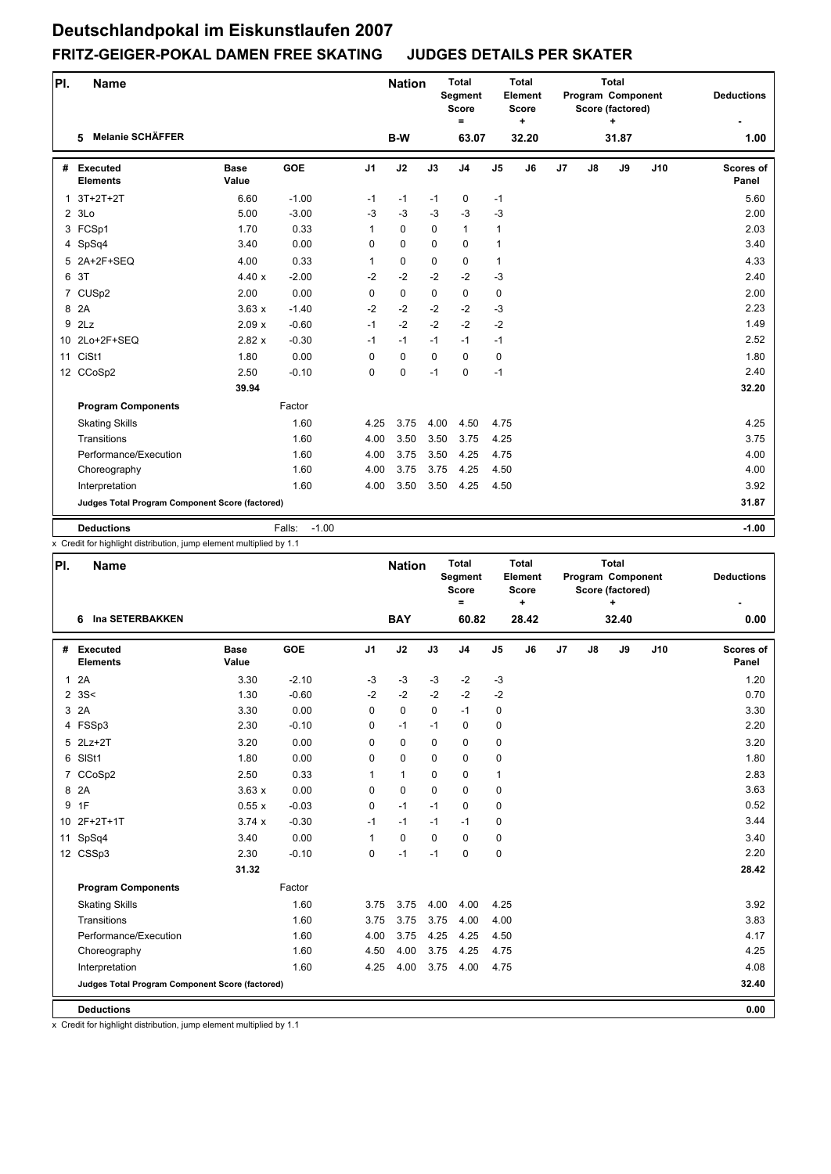| PI.          | <b>Name</b>                                     |                      |                   |                | <b>Nation</b> |             | <b>Total</b><br>Segment<br><b>Score</b><br>$=$ |                | <b>Total</b><br>Element<br><b>Score</b><br>٠ |                |    | <b>Total</b><br>Program Component<br>Score (factored)<br>÷ |     | <b>Deductions</b>         |
|--------------|-------------------------------------------------|----------------------|-------------------|----------------|---------------|-------------|------------------------------------------------|----------------|----------------------------------------------|----------------|----|------------------------------------------------------------|-----|---------------------------|
|              | <b>Melanie SCHÄFFER</b><br>5                    |                      |                   |                | B-W           |             | 63.07                                          |                | 32.20                                        |                |    | 31.87                                                      |     | 1.00                      |
| #            | Executed<br><b>Elements</b>                     | <b>Base</b><br>Value | <b>GOE</b>        | J <sub>1</sub> | J2            | J3          | J <sub>4</sub>                                 | J <sub>5</sub> | J6                                           | J <sub>7</sub> | J8 | J9                                                         | J10 | <b>Scores of</b><br>Panel |
| $\mathbf{1}$ | 3T+2T+2T                                        | 6.60                 | $-1.00$           | $-1$           | $-1$          | $-1$        | 0                                              | $-1$           |                                              |                |    |                                                            |     | 5.60                      |
|              | 23Lo                                            | 5.00                 | $-3.00$           | $-3$           | $-3$          | $-3$        | $-3$                                           | $-3$           |                                              |                |    |                                                            |     | 2.00                      |
|              | 3 FCSp1                                         | 1.70                 | 0.33              | 1              | $\mathbf 0$   | $\Omega$    | $\mathbf{1}$                                   | $\mathbf{1}$   |                                              |                |    |                                                            |     | 2.03                      |
|              | 4 SpSq4                                         | 3.40                 | 0.00              | 0              | $\mathbf 0$   | $\mathbf 0$ | $\mathbf 0$                                    | $\mathbf{1}$   |                                              |                |    |                                                            |     | 3.40                      |
| 5            | 2A+2F+SEQ                                       | 4.00                 | 0.33              | $\mathbf{1}$   | $\mathbf 0$   | $\mathbf 0$ | $\mathbf 0$                                    | $\mathbf{1}$   |                                              |                |    |                                                            |     | 4.33                      |
| 6            | 3T                                              | 4.40x                | $-2.00$           | $-2$           | $-2$          | $-2$        | $-2$                                           | $-3$           |                                              |                |    |                                                            |     | 2.40                      |
|              | 7 CUSp2                                         | 2.00                 | 0.00              | 0              | $\mathbf 0$   | $\mathbf 0$ | $\mathbf 0$                                    | 0              |                                              |                |    |                                                            |     | 2.00                      |
|              | 8 2A                                            | 3.63x                | $-1.40$           | $-2$           | $-2$          | $-2$        | $-2$                                           | $-3$           |                                              |                |    |                                                            |     | 2.23                      |
| 9            | 2Lz                                             | 2.09x                | $-0.60$           | $-1$           | $-2$          | $-2$        | $-2$                                           | $-2$           |                                              |                |    |                                                            |     | 1.49                      |
|              | 10 2Lo+2F+SEQ                                   | 2.82x                | $-0.30$           | $-1$           | $-1$          | $-1$        | $-1$                                           | $-1$           |                                              |                |    |                                                            |     | 2.52                      |
| 11           | CiSt1                                           | 1.80                 | 0.00              | $\Omega$       | $\mathbf 0$   | $\mathbf 0$ | $\mathbf 0$                                    | $\pmb{0}$      |                                              |                |    |                                                            |     | 1.80                      |
|              | 12 CCoSp2                                       | 2.50                 | $-0.10$           | 0              | $\mathbf 0$   | $-1$        | $\mathbf 0$                                    | $-1$           |                                              |                |    |                                                            |     | 2.40                      |
|              |                                                 | 39.94                |                   |                |               |             |                                                |                |                                              |                |    |                                                            |     | 32.20                     |
|              | <b>Program Components</b>                       |                      | Factor            |                |               |             |                                                |                |                                              |                |    |                                                            |     |                           |
|              | <b>Skating Skills</b>                           |                      | 1.60              | 4.25           | 3.75          | 4.00        | 4.50                                           | 4.75           |                                              |                |    |                                                            |     | 4.25                      |
|              | Transitions                                     |                      | 1.60              | 4.00           | 3.50          | 3.50        | 3.75                                           | 4.25           |                                              |                |    |                                                            |     | 3.75                      |
|              | Performance/Execution                           |                      | 1.60              | 4.00           | 3.75          | 3.50        | 4.25                                           | 4.75           |                                              |                |    |                                                            |     | 4.00                      |
|              | Choreography                                    |                      | 1.60              | 4.00           | 3.75          | 3.75        | 4.25                                           | 4.50           |                                              |                |    |                                                            |     | 4.00                      |
|              | Interpretation                                  |                      | 1.60              | 4.00           | 3.50          | 3.50        | 4.25                                           | 4.50           |                                              |                |    |                                                            |     | 3.92                      |
|              | Judges Total Program Component Score (factored) |                      |                   |                |               |             |                                                |                |                                              |                |    |                                                            |     | 31.87                     |
|              | <b>Deductions</b>                               |                      | $-1.00$<br>Falls: |                |               |             |                                                |                |                                              |                |    |                                                            |     | $-1.00$                   |

x Credit for highlight distribution, jump element multiplied by 1.1

| PI. | <b>Name</b>                                     |                      |            |                | <b>Nation</b> |             | <b>Total</b><br><b>Segment</b><br><b>Score</b><br>$\equiv$ |                | <b>Total</b><br>Element<br><b>Score</b><br>٠ |    |    | <b>Total</b><br>Program Component<br>Score (factored)<br>÷ |     | <b>Deductions</b>         |
|-----|-------------------------------------------------|----------------------|------------|----------------|---------------|-------------|------------------------------------------------------------|----------------|----------------------------------------------|----|----|------------------------------------------------------------|-----|---------------------------|
|     | <b>Ina SETERBAKKEN</b><br>6                     |                      |            |                | <b>BAY</b>    |             | 60.82                                                      |                | 28.42                                        |    |    | 32.40                                                      |     | 0.00                      |
| #   | <b>Executed</b><br><b>Elements</b>              | <b>Base</b><br>Value | <b>GOE</b> | J <sub>1</sub> | J2            | J3          | J <sub>4</sub>                                             | J <sub>5</sub> | J6                                           | J7 | J8 | J9                                                         | J10 | <b>Scores of</b><br>Panel |
| 1   | 2A                                              | 3.30                 | $-2.10$    | $-3$           | $-3$          | $-3$        | $-2$                                                       | $-3$           |                                              |    |    |                                                            |     | 1.20                      |
|     | $2 \, 3S <$                                     | 1.30                 | $-0.60$    | $-2$           | $-2$          | $-2$        | $-2$                                                       | $-2$           |                                              |    |    |                                                            |     | 0.70                      |
|     | 3 2A                                            | 3.30                 | 0.00       | $\Omega$       | $\mathbf 0$   | $\Omega$    | $-1$                                                       | 0              |                                              |    |    |                                                            |     | 3.30                      |
|     | 4 FSSp3                                         | 2.30                 | $-0.10$    | 0              | $-1$          | $-1$        | $\mathbf 0$                                                | 0              |                                              |    |    |                                                            |     | 2.20                      |
|     | 5 2Lz+2T                                        | 3.20                 | 0.00       | 0              | $\mathbf 0$   | $\mathbf 0$ | $\mathbf 0$                                                | 0              |                                              |    |    |                                                            |     | 3.20                      |
|     | 6 SISt1                                         | 1.80                 | 0.00       | 0              | $\mathbf 0$   | $\Omega$    | $\Omega$                                                   | 0              |                                              |    |    |                                                            |     | 1.80                      |
|     | 7 CCoSp2                                        | 2.50                 | 0.33       | $\mathbf{1}$   | $\mathbf{1}$  | $\Omega$    | $\mathbf 0$                                                | $\mathbf{1}$   |                                              |    |    |                                                            |     | 2.83                      |
|     | 8 2A                                            | 3.63x                | 0.00       | 0              | $\mathbf 0$   | $\Omega$    | $\Omega$                                                   | 0              |                                              |    |    |                                                            |     | 3.63                      |
| 9   | 1F                                              | 0.55x                | $-0.03$    | 0              | $-1$          | $-1$        | $\mathbf 0$                                                | 0              |                                              |    |    |                                                            |     | 0.52                      |
|     | 10 2F+2T+1T                                     | 3.74x                | $-0.30$    | $-1$           | $-1$          | $-1$        | $-1$                                                       | 0              |                                              |    |    |                                                            |     | 3.44                      |
|     | 11 SpSq4                                        | 3.40                 | 0.00       | $\mathbf{1}$   | 0             | $\mathbf 0$ | $\mathbf 0$                                                | 0              |                                              |    |    |                                                            |     | 3.40                      |
|     | 12 CSSp3                                        | 2.30                 | $-0.10$    | $\Omega$       | $-1$          | $-1$        | $\Omega$                                                   | 0              |                                              |    |    |                                                            |     | 2.20                      |
|     |                                                 | 31.32                |            |                |               |             |                                                            |                |                                              |    |    |                                                            |     | 28.42                     |
|     | <b>Program Components</b>                       |                      | Factor     |                |               |             |                                                            |                |                                              |    |    |                                                            |     |                           |
|     | <b>Skating Skills</b>                           |                      | 1.60       | 3.75           | 3.75          | 4.00        | 4.00                                                       | 4.25           |                                              |    |    |                                                            |     | 3.92                      |
|     | Transitions                                     |                      | 1.60       | 3.75           | 3.75          | 3.75        | 4.00                                                       | 4.00           |                                              |    |    |                                                            |     | 3.83                      |
|     | Performance/Execution                           |                      | 1.60       | 4.00           | 3.75          | 4.25        | 4.25                                                       | 4.50           |                                              |    |    |                                                            |     | 4.17                      |
|     | Choreography                                    |                      | 1.60       | 4.50           | 4.00          | 3.75        | 4.25                                                       | 4.75           |                                              |    |    |                                                            |     | 4.25                      |
|     | Interpretation                                  |                      | 1.60       | 4.25           | 4.00          | 3.75        | 4.00                                                       | 4.75           |                                              |    |    |                                                            |     | 4.08                      |
|     | Judges Total Program Component Score (factored) |                      |            |                |               |             |                                                            |                |                                              |    |    |                                                            |     | 32.40                     |
|     | <b>Deductions</b>                               |                      |            |                |               |             |                                                            |                |                                              |    |    |                                                            |     | 0.00                      |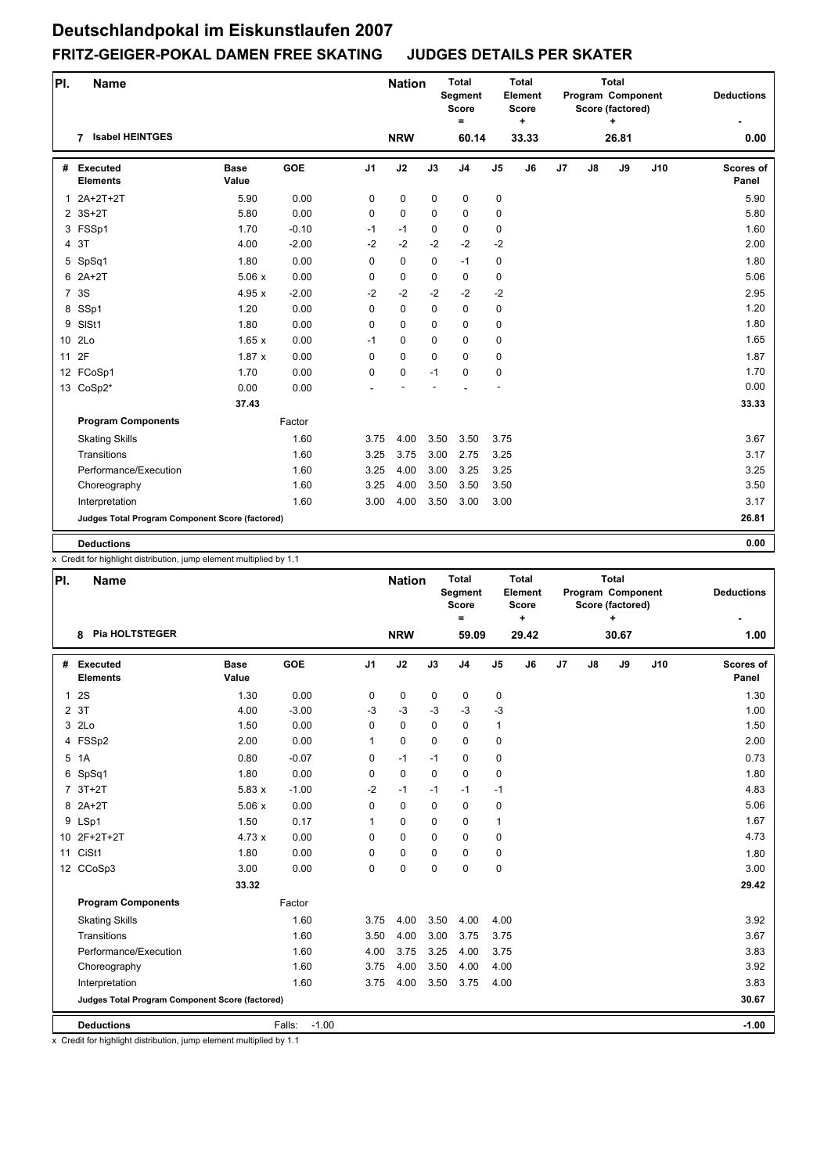| PI.            | <b>Name</b>                                     |                      |         |                | <b>Nation</b> |             | <b>Total</b><br>Segment<br><b>Score</b><br>$=$ |                | <b>Total</b><br>Element<br><b>Score</b><br>٠ |    |               | <b>Total</b><br>Program Component<br>Score (factored)<br>÷ |     | <b>Deductions</b>  |
|----------------|-------------------------------------------------|----------------------|---------|----------------|---------------|-------------|------------------------------------------------|----------------|----------------------------------------------|----|---------------|------------------------------------------------------------|-----|--------------------|
|                | <b>Isabel HEINTGES</b><br>7                     |                      |         |                | <b>NRW</b>    |             | 60.14                                          |                | 33.33                                        |    |               | 26.81                                                      |     | 0.00               |
|                | # Executed<br><b>Elements</b>                   | <b>Base</b><br>Value | GOE     | J <sub>1</sub> | J2            | J3          | J <sub>4</sub>                                 | J <sub>5</sub> | J6                                           | J7 | $\mathsf{J}8$ | J9                                                         | J10 | Scores of<br>Panel |
| $\mathbf{1}$   | 2A+2T+2T                                        | 5.90                 | 0.00    | 0              | 0             | 0           | 0                                              | 0              |                                              |    |               |                                                            |     | 5.90               |
|                | 2 3S+2T                                         | 5.80                 | 0.00    | $\Omega$       | $\mathbf 0$   | $\Omega$    | $\mathbf 0$                                    | 0              |                                              |    |               |                                                            |     | 5.80               |
|                | 3 FSSp1                                         | 1.70                 | $-0.10$ | $-1$           | $-1$          | $\mathbf 0$ | $\mathbf 0$                                    | 0              |                                              |    |               |                                                            |     | 1.60               |
|                | 4 3T                                            | 4.00                 | $-2.00$ | $-2$           | $-2$          | $-2$        | $-2$                                           | $-2$           |                                              |    |               |                                                            |     | 2.00               |
|                | 5 SpSq1                                         | 1.80                 | 0.00    | 0              | $\mathbf 0$   | 0           | $-1$                                           | 0              |                                              |    |               |                                                            |     | 1.80               |
|                | 6 2A+2T                                         | 5.06x                | 0.00    | 0              | $\pmb{0}$     | $\mathbf 0$ | $\pmb{0}$                                      | 0              |                                              |    |               |                                                            |     | 5.06               |
| $\overline{7}$ | 3S                                              | 4.95x                | $-2.00$ | $-2$           | $-2$          | $-2$        | $-2$                                           | $-2$           |                                              |    |               |                                                            |     | 2.95               |
|                | 8 SSp1                                          | 1.20                 | 0.00    | 0              | $\mathbf 0$   | $\Omega$    | $\Omega$                                       | 0              |                                              |    |               |                                                            |     | 1.20               |
| 9              | SISt1                                           | 1.80                 | 0.00    | 0              | $\mathbf 0$   | $\Omega$    | $\mathbf 0$                                    | 0              |                                              |    |               |                                                            |     | 1.80               |
|                | 10 2Lo                                          | 1.65x                | 0.00    | $-1$           | $\mathbf 0$   | $\Omega$    | $\Omega$                                       | 0              |                                              |    |               |                                                            |     | 1.65               |
| 11             | 2F                                              | 1.87x                | 0.00    | $\Omega$       | $\mathbf 0$   | $\mathbf 0$ | $\Omega$                                       | 0              |                                              |    |               |                                                            |     | 1.87               |
|                | 12 FCoSp1                                       | 1.70                 | 0.00    | 0              | $\mathbf 0$   | $-1$        | $\mathbf 0$                                    | $\mathbf 0$    |                                              |    |               |                                                            |     | 1.70               |
|                | 13 CoSp2*                                       | 0.00                 | 0.00    |                |               |             |                                                |                |                                              |    |               |                                                            |     | 0.00               |
|                |                                                 | 37.43                |         |                |               |             |                                                |                |                                              |    |               |                                                            |     | 33.33              |
|                | <b>Program Components</b>                       |                      | Factor  |                |               |             |                                                |                |                                              |    |               |                                                            |     |                    |
|                | <b>Skating Skills</b>                           |                      | 1.60    | 3.75           | 4.00          | 3.50        | 3.50                                           | 3.75           |                                              |    |               |                                                            |     | 3.67               |
|                | Transitions                                     |                      | 1.60    | 3.25           | 3.75          | 3.00        | 2.75                                           | 3.25           |                                              |    |               |                                                            |     | 3.17               |
|                | Performance/Execution                           |                      | 1.60    | 3.25           | 4.00          | 3.00        | 3.25                                           | 3.25           |                                              |    |               |                                                            |     | 3.25               |
|                | Choreography                                    |                      | 1.60    | 3.25           | 4.00          | 3.50        | 3.50                                           | 3.50           |                                              |    |               |                                                            |     | 3.50               |
|                | Interpretation                                  |                      | 1.60    | 3.00           | 4.00          | 3.50        | 3.00                                           | 3.00           |                                              |    |               |                                                            |     | 3.17               |
|                | Judges Total Program Component Score (factored) |                      |         |                |               |             |                                                |                |                                              |    |               |                                                            |     | 26.81              |
|                | <b>Deductions</b>                               |                      |         |                |               |             |                                                |                |                                              |    |               |                                                            |     | 0.00               |

x Credit for highlight distribution, jump element multiplied by 1.1

| PI.          | <b>Name</b>                                     |                      |                   |                | <b>Nation</b> |             | <b>Total</b><br>Segment<br><b>Score</b><br>$\equiv$ |                | <b>Total</b><br>Element<br><b>Score</b><br>÷ |    |               | Total<br>Program Component<br>Score (factored)<br>٠ |     | <b>Deductions</b>         |
|--------------|-------------------------------------------------|----------------------|-------------------|----------------|---------------|-------------|-----------------------------------------------------|----------------|----------------------------------------------|----|---------------|-----------------------------------------------------|-----|---------------------------|
|              | <b>Pia HOLTSTEGER</b><br>8                      |                      |                   |                | <b>NRW</b>    |             | 59.09                                               |                | 29.42                                        |    |               | 30.67                                               |     | 1.00                      |
|              | # Executed<br><b>Elements</b>                   | <b>Base</b><br>Value | <b>GOE</b>        | J <sub>1</sub> | J2            | J3          | J <sub>4</sub>                                      | J <sub>5</sub> | J6                                           | J7 | $\mathsf{J}8$ | J9                                                  | J10 | <b>Scores of</b><br>Panel |
| $\mathbf{1}$ | 2S                                              | 1.30                 | 0.00              | 0              | $\pmb{0}$     | 0           | 0                                                   | 0              |                                              |    |               |                                                     |     | 1.30                      |
|              | 2 3T                                            | 4.00                 | $-3.00$           | $-3$           | $-3$          | $-3$        | $-3$                                                | $-3$           |                                              |    |               |                                                     |     | 1.00                      |
|              | 3 2Lo                                           | 1.50                 | 0.00              | $\mathbf 0$    | $\mathbf 0$   | $\mathbf 0$ | 0                                                   | 1              |                                              |    |               |                                                     |     | 1.50                      |
|              | 4 FSSp2                                         | 2.00                 | 0.00              | $\mathbf{1}$   | $\mathbf 0$   | $\mathbf 0$ | $\mathbf 0$                                         | 0              |                                              |    |               |                                                     |     | 2.00                      |
|              | 5 1A                                            | 0.80                 | $-0.07$           | $\mathbf 0$    | $-1$          | $-1$        | $\mathbf 0$                                         | 0              |                                              |    |               |                                                     |     | 0.73                      |
|              | 6 SpSq1                                         | 1.80                 | 0.00              | 0              | $\mathbf 0$   | $\mathbf 0$ | 0                                                   | 0              |                                              |    |               |                                                     |     | 1.80                      |
|              | $7.3T+2T$                                       | 5.83x                | $-1.00$           | $-2$           | $-1$          | $-1$        | $-1$                                                | $-1$           |                                              |    |               |                                                     |     | 4.83                      |
|              | 8 2A+2T                                         | 5.06x                | 0.00              | $\Omega$       | $\Omega$      | $\Omega$    | $\mathbf 0$                                         | 0              |                                              |    |               |                                                     |     | 5.06                      |
|              | 9 LSp1                                          | 1.50                 | 0.17              | $\mathbf{1}$   | 0             | $\mathbf 0$ | $\mathbf 0$                                         | 1              |                                              |    |               |                                                     |     | 1.67                      |
|              | 10 2F+2T+2T                                     | 4.73x                | 0.00              | $\mathbf 0$    | 0             | $\mathbf 0$ | $\mathbf 0$                                         | 0              |                                              |    |               |                                                     |     | 4.73                      |
|              | 11 CiSt1                                        | 1.80                 | 0.00              | $\mathbf 0$    | $\pmb{0}$     | 0           | 0                                                   | 0              |                                              |    |               |                                                     |     | 1.80                      |
|              | 12 CCoSp3                                       | 3.00                 | 0.00              | $\mathbf 0$    | 0             | $\mathbf 0$ | $\mathbf 0$                                         | 0              |                                              |    |               |                                                     |     | 3.00                      |
|              |                                                 | 33.32                |                   |                |               |             |                                                     |                |                                              |    |               |                                                     |     | 29.42                     |
|              | <b>Program Components</b>                       |                      | Factor            |                |               |             |                                                     |                |                                              |    |               |                                                     |     |                           |
|              | <b>Skating Skills</b>                           |                      | 1.60              | 3.75           | 4.00          | 3.50        | 4.00                                                | 4.00           |                                              |    |               |                                                     |     | 3.92                      |
|              | Transitions                                     |                      | 1.60              | 3.50           | 4.00          | 3.00        | 3.75                                                | 3.75           |                                              |    |               |                                                     |     | 3.67                      |
|              | Performance/Execution                           |                      | 1.60              | 4.00           | 3.75          | 3.25        | 4.00                                                | 3.75           |                                              |    |               |                                                     |     | 3.83                      |
|              | Choreography                                    |                      | 1.60              | 3.75           | 4.00          | 3.50        | 4.00                                                | 4.00           |                                              |    |               |                                                     |     | 3.92                      |
|              | Interpretation                                  |                      | 1.60              | 3.75           | 4.00          | 3.50        | 3.75                                                | 4.00           |                                              |    |               |                                                     |     | 3.83                      |
|              | Judges Total Program Component Score (factored) |                      |                   |                |               |             |                                                     |                |                                              |    |               |                                                     |     | 30.67                     |
|              | <b>Deductions</b>                               |                      | Falls:<br>$-1.00$ |                |               |             |                                                     |                |                                              |    |               |                                                     |     | $-1.00$                   |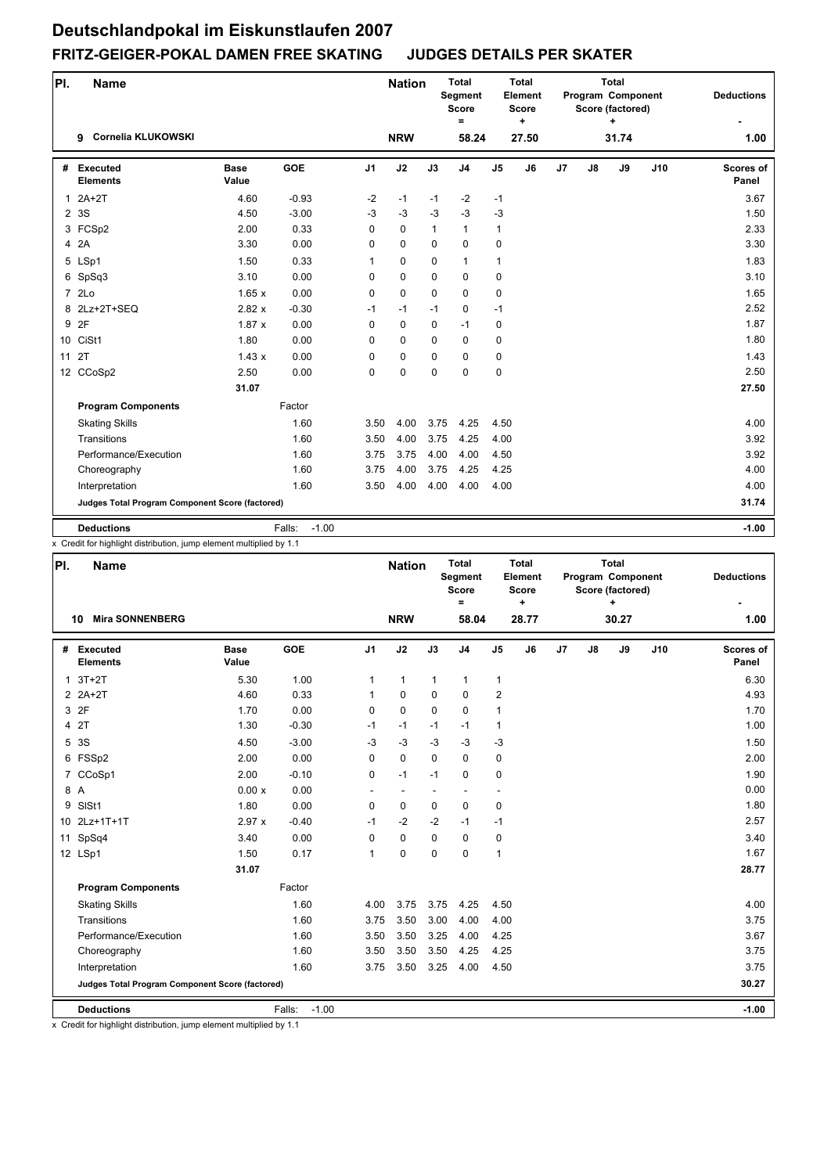| PI.            | <b>Name</b>                                     |                      |                   |                | <b>Nation</b> |              | <b>Total</b><br>Segment<br><b>Score</b><br>$=$ |                | <b>Total</b><br>Element<br><b>Score</b><br>٠ |                |    | <b>Total</b><br>Program Component<br>Score (factored)<br>+ |     | <b>Deductions</b>         |
|----------------|-------------------------------------------------|----------------------|-------------------|----------------|---------------|--------------|------------------------------------------------|----------------|----------------------------------------------|----------------|----|------------------------------------------------------------|-----|---------------------------|
|                | Cornelia KLUKOWSKI<br>9                         |                      |                   |                | <b>NRW</b>    |              | 58.24                                          |                | 27.50                                        |                |    | 31.74                                                      |     | 1.00                      |
| #              | Executed<br><b>Elements</b>                     | <b>Base</b><br>Value | <b>GOE</b>        | J <sub>1</sub> | J2            | J3           | J <sub>4</sub>                                 | J <sub>5</sub> | J6                                           | J <sub>7</sub> | J8 | J9                                                         | J10 | <b>Scores of</b><br>Panel |
| $\mathbf{1}$   | $2A+2T$                                         | 4.60                 | $-0.93$           | $-2$           | $-1$          | $-1$         | $-2$                                           | $-1$           |                                              |                |    |                                                            |     | 3.67                      |
| $\overline{2}$ | 3S                                              | 4.50                 | $-3.00$           | $-3$           | $-3$          | $-3$         | $-3$                                           | $-3$           |                                              |                |    |                                                            |     | 1.50                      |
|                | 3 FCSp2                                         | 2.00                 | 0.33              | $\Omega$       | $\mathbf 0$   | $\mathbf{1}$ | $\mathbf{1}$                                   | $\mathbf{1}$   |                                              |                |    |                                                            |     | 2.33                      |
| $\overline{4}$ | 2A                                              | 3.30                 | 0.00              | $\mathbf 0$    | $\mathbf 0$   | $\mathbf 0$  | $\mathbf 0$                                    | 0              |                                              |                |    |                                                            |     | 3.30                      |
|                | 5 LSp1                                          | 1.50                 | 0.33              | $\mathbf{1}$   | 0             | $\mathbf 0$  | $\mathbf{1}$                                   | $\mathbf{1}$   |                                              |                |    |                                                            |     | 1.83                      |
|                | 6 SpSq3                                         | 3.10                 | 0.00              | 0              | $\mathbf 0$   | $\Omega$     | $\Omega$                                       | 0              |                                              |                |    |                                                            |     | 3.10                      |
|                | 7 2Lo                                           | 1.65x                | 0.00              | $\mathbf 0$    | 0             | $\mathbf 0$  | $\mathbf 0$                                    | 0              |                                              |                |    |                                                            |     | 1.65                      |
|                | 8 2Lz+2T+SEQ                                    | 2.82x                | $-0.30$           | $-1$           | $-1$          | $-1$         | $\mathbf 0$                                    | $-1$           |                                              |                |    |                                                            |     | 2.52                      |
| 9              | 2F                                              | 1.87x                | 0.00              | $\Omega$       | $\mathbf 0$   | $\mathbf 0$  | $-1$                                           | 0              |                                              |                |    |                                                            |     | 1.87                      |
|                | 10 CiSt1                                        | 1.80                 | 0.00              | 0              | 0             | $\Omega$     | $\Omega$                                       | 0              |                                              |                |    |                                                            |     | 1.80                      |
| 11             | 2T                                              | 1.43x                | 0.00              | $\Omega$       | $\mathbf 0$   | $\Omega$     | $\mathbf 0$                                    | 0              |                                              |                |    |                                                            |     | 1.43                      |
|                | 12 CCoSp2                                       | 2.50                 | 0.00              | 0              | $\mathbf 0$   | $\mathbf 0$  | $\mathbf 0$                                    | 0              |                                              |                |    |                                                            |     | 2.50                      |
|                |                                                 | 31.07                |                   |                |               |              |                                                |                |                                              |                |    |                                                            |     | 27.50                     |
|                | <b>Program Components</b>                       |                      | Factor            |                |               |              |                                                |                |                                              |                |    |                                                            |     |                           |
|                | <b>Skating Skills</b>                           |                      | 1.60              | 3.50           | 4.00          | 3.75         | 4.25                                           | 4.50           |                                              |                |    |                                                            |     | 4.00                      |
|                | Transitions                                     |                      | 1.60              | 3.50           | 4.00          | 3.75         | 4.25                                           | 4.00           |                                              |                |    |                                                            |     | 3.92                      |
|                | Performance/Execution                           |                      | 1.60              | 3.75           | 3.75          | 4.00         | 4.00                                           | 4.50           |                                              |                |    |                                                            |     | 3.92                      |
|                | Choreography                                    |                      | 1.60              | 3.75           | 4.00          | 3.75         | 4.25                                           | 4.25           |                                              |                |    |                                                            |     | 4.00                      |
|                | Interpretation                                  |                      | 1.60              | 3.50           | 4.00          | 4.00         | 4.00                                           | 4.00           |                                              |                |    |                                                            |     | 4.00                      |
|                | Judges Total Program Component Score (factored) |                      |                   |                |               |              |                                                |                |                                              |                |    |                                                            |     | 31.74                     |
|                | <b>Deductions</b>                               |                      | Falls:<br>$-1.00$ |                |               |              |                                                |                |                                              |                |    |                                                            |     | $-1.00$                   |

x Credit for highlight distribution, jump element multiplied by 1.1

| PI. | <b>Name</b>                                     |                      |                   |                | <b>Nation</b> |              | <b>Total</b><br><b>Segment</b><br><b>Score</b><br>$\equiv$ |                          | <b>Total</b><br>Element<br><b>Score</b><br>$\ddot{}$ |    |    | <b>Total</b><br>Program Component<br>Score (factored)<br>÷ |     | <b>Deductions</b>  |
|-----|-------------------------------------------------|----------------------|-------------------|----------------|---------------|--------------|------------------------------------------------------------|--------------------------|------------------------------------------------------|----|----|------------------------------------------------------------|-----|--------------------|
|     | <b>Mira SONNENBERG</b><br>10                    |                      |                   |                | <b>NRW</b>    |              | 58.04                                                      |                          | 28.77                                                |    |    | 30.27                                                      |     | 1.00               |
|     | # Executed<br><b>Elements</b>                   | <b>Base</b><br>Value | <b>GOE</b>        | J <sub>1</sub> | J2            | J3           | J <sub>4</sub>                                             | J <sub>5</sub>           | J6                                                   | J7 | J8 | J9                                                         | J10 | Scores of<br>Panel |
|     | $1.3T+2T$                                       | 5.30                 | 1.00              | 1              | $\mathbf{1}$  | $\mathbf{1}$ | $\mathbf{1}$                                               | $\mathbf{1}$             |                                                      |    |    |                                                            |     | 6.30               |
|     | $2$ $2A+2T$                                     | 4.60                 | 0.33              | $\mathbf{1}$   | 0             | $\Omega$     | $\Omega$                                                   | $\overline{2}$           |                                                      |    |    |                                                            |     | 4.93               |
|     | 3 2F                                            | 1.70                 | 0.00              | 0              | $\Omega$      | $\Omega$     | $\Omega$                                                   | $\mathbf{1}$             |                                                      |    |    |                                                            |     | 1.70               |
|     | 4 2T                                            | 1.30                 | $-0.30$           | $-1$           | $-1$          | $-1$         | $-1$                                                       | $\mathbf{1}$             |                                                      |    |    |                                                            |     | 1.00               |
| 5   | 3S                                              | 4.50                 | $-3.00$           | $-3$           | $-3$          | $-3$         | $-3$                                                       | $-3$                     |                                                      |    |    |                                                            |     | 1.50               |
|     | 6 FSSp2                                         | 2.00                 | 0.00              | 0              | $\Omega$      | $\Omega$     | $\Omega$                                                   | $\pmb{0}$                |                                                      |    |    |                                                            |     | 2.00               |
|     | 7 CCoSp1                                        | 2.00                 | $-0.10$           | 0              | $-1$          | $-1$         | $\Omega$                                                   | $\pmb{0}$                |                                                      |    |    |                                                            |     | 1.90               |
|     | 8 A                                             | 0.00x                | 0.00              |                | $\sim$        |              | ٠                                                          | $\overline{\phantom{m}}$ |                                                      |    |    |                                                            |     | 0.00               |
| 9   | SISt1                                           | 1.80                 | 0.00              | 0              | $\mathbf 0$   | $\Omega$     | $\mathbf 0$                                                | $\pmb{0}$                |                                                      |    |    |                                                            |     | 1.80               |
|     | 10 2Lz+1T+1T                                    | 2.97x                | $-0.40$           | $-1$           | $-2$          | $-2$         | $-1$                                                       | $-1$                     |                                                      |    |    |                                                            |     | 2.57               |
|     | 11 SpSq4                                        | 3.40                 | 0.00              | 0              | $\mathbf 0$   | 0            | 0                                                          | $\mathbf 0$              |                                                      |    |    |                                                            |     | 3.40               |
|     | 12 LSp1                                         | 1.50                 | 0.17              | $\mathbf{1}$   | $\mathbf 0$   | 0            | $\Omega$                                                   | $\mathbf{1}$             |                                                      |    |    |                                                            |     | 1.67               |
|     |                                                 | 31.07                |                   |                |               |              |                                                            |                          |                                                      |    |    |                                                            |     | 28.77              |
|     | <b>Program Components</b>                       |                      | Factor            |                |               |              |                                                            |                          |                                                      |    |    |                                                            |     |                    |
|     | <b>Skating Skills</b>                           |                      | 1.60              | 4.00           | 3.75          | 3.75         | 4.25                                                       | 4.50                     |                                                      |    |    |                                                            |     | 4.00               |
|     | Transitions                                     |                      | 1.60              | 3.75           | 3.50          | 3.00         | 4.00                                                       | 4.00                     |                                                      |    |    |                                                            |     | 3.75               |
|     | Performance/Execution                           |                      | 1.60              | 3.50           | 3.50          | 3.25         | 4.00                                                       | 4.25                     |                                                      |    |    |                                                            |     | 3.67               |
|     | Choreography                                    |                      | 1.60              | 3.50           | 3.50          | 3.50         | 4.25                                                       | 4.25                     |                                                      |    |    |                                                            |     | 3.75               |
|     | Interpretation                                  |                      | 1.60              | 3.75           | 3.50          | 3.25         | 4.00                                                       | 4.50                     |                                                      |    |    |                                                            |     | 3.75               |
|     | Judges Total Program Component Score (factored) |                      |                   |                |               |              |                                                            |                          |                                                      |    |    |                                                            |     | 30.27              |
|     | <b>Deductions</b>                               |                      | Falls:<br>$-1.00$ |                |               |              |                                                            |                          |                                                      |    |    |                                                            |     | $-1.00$            |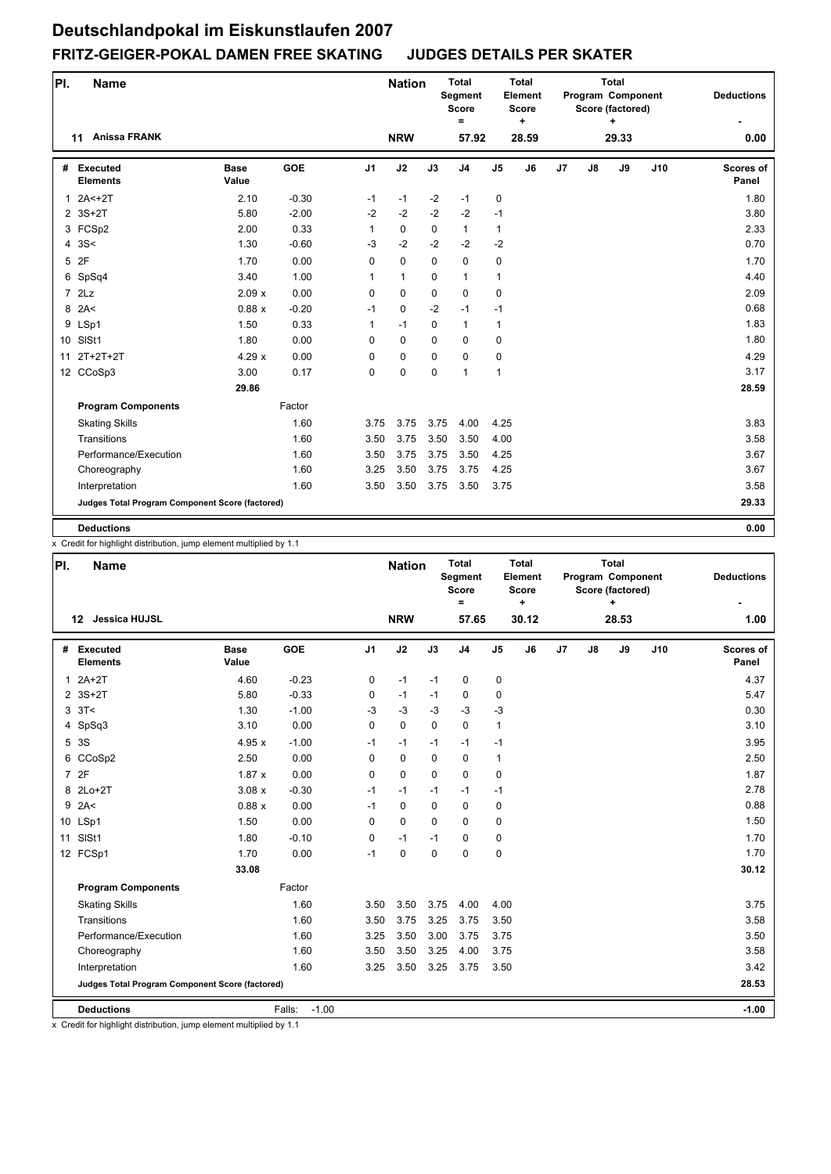| PI.          | <b>Name</b>                                     |                      |         |                | <b>Nation</b> |             | <b>Total</b><br>Segment<br><b>Score</b><br>$=$ |                | <b>Total</b><br>Element<br>Score<br>٠ |    |    | <b>Total</b><br>Program Component<br>Score (factored)<br>÷ |     | <b>Deductions</b>  |
|--------------|-------------------------------------------------|----------------------|---------|----------------|---------------|-------------|------------------------------------------------|----------------|---------------------------------------|----|----|------------------------------------------------------------|-----|--------------------|
|              | <b>Anissa FRANK</b><br>11                       |                      |         |                | <b>NRW</b>    |             | 57.92                                          |                | 28.59                                 |    |    | 29.33                                                      |     | 0.00               |
|              | # Executed<br><b>Elements</b>                   | <b>Base</b><br>Value | GOE     | J <sub>1</sub> | J2            | J3          | J <sub>4</sub>                                 | J <sub>5</sub> | J <sub>6</sub>                        | J7 | J8 | J9                                                         | J10 | Scores of<br>Panel |
| $\mathbf{1}$ | $2A2 + 2T$                                      | 2.10                 | $-0.30$ | $-1$           | $-1$          | $-2$        | $-1$                                           | 0              |                                       |    |    |                                                            |     | 1.80               |
|              | 2 3S+2T                                         | 5.80                 | $-2.00$ | $-2$           | $-2$          | $-2$        | $-2$                                           | $-1$           |                                       |    |    |                                                            |     | 3.80               |
|              | 3 FCSp2                                         | 2.00                 | 0.33    | $\mathbf{1}$   | $\mathbf 0$   | $\Omega$    | $\mathbf{1}$                                   | $\mathbf{1}$   |                                       |    |    |                                                            |     | 2.33               |
|              | 4.3S<                                           | 1.30                 | $-0.60$ | $-3$           | $-2$          | $-2$        | $-2$                                           | $-2$           |                                       |    |    |                                                            |     | 0.70               |
|              | 5 2F                                            | 1.70                 | 0.00    | 0              | $\mathbf 0$   | $\Omega$    | $\mathbf 0$                                    | 0              |                                       |    |    |                                                            |     | 1.70               |
|              | 6 SpSq4                                         | 3.40                 | 1.00    | $\mathbf{1}$   | $\mathbf{1}$  | $\Omega$    | $\mathbf{1}$                                   | $\mathbf{1}$   |                                       |    |    |                                                            |     | 4.40               |
|              | 72Lz                                            | 2.09x                | 0.00    | $\mathbf 0$    | $\mathbf 0$   | $\mathbf 0$ | $\mathbf 0$                                    | 0              |                                       |    |    |                                                            |     | 2.09               |
|              | $8$ 2A<                                         | 0.88x                | $-0.20$ | $-1$           | 0             | $-2$        | $-1$                                           | $-1$           |                                       |    |    |                                                            |     | 0.68               |
|              | 9 LSp1                                          | 1.50                 | 0.33    | 1              | $-1$          | $\Omega$    | $\mathbf{1}$                                   | $\mathbf{1}$   |                                       |    |    |                                                            |     | 1.83               |
|              | 10 SISt1                                        | 1.80                 | 0.00    | $\Omega$       | $\mathbf 0$   | $\Omega$    | $\mathbf 0$                                    | 0              |                                       |    |    |                                                            |     | 1.80               |
| 11           | $2T+2T+2T$                                      | 4.29x                | 0.00    | 0              | $\pmb{0}$     | $\mathbf 0$ | $\mathbf 0$                                    | 0              |                                       |    |    |                                                            |     | 4.29               |
|              | 12 CCoSp3                                       | 3.00                 | 0.17    | 0              | 0             | $\Omega$    | $\mathbf{1}$                                   | $\mathbf{1}$   |                                       |    |    |                                                            |     | 3.17               |
|              |                                                 | 29.86                |         |                |               |             |                                                |                |                                       |    |    |                                                            |     | 28.59              |
|              | <b>Program Components</b>                       |                      | Factor  |                |               |             |                                                |                |                                       |    |    |                                                            |     |                    |
|              | <b>Skating Skills</b>                           |                      | 1.60    | 3.75           | 3.75          | 3.75        | 4.00                                           | 4.25           |                                       |    |    |                                                            |     | 3.83               |
|              | Transitions                                     |                      | 1.60    | 3.50           | 3.75          | 3.50        | 3.50                                           | 4.00           |                                       |    |    |                                                            |     | 3.58               |
|              | Performance/Execution                           |                      | 1.60    | 3.50           | 3.75          | 3.75        | 3.50                                           | 4.25           |                                       |    |    |                                                            |     | 3.67               |
|              | Choreography                                    |                      | 1.60    | 3.25           | 3.50          | 3.75        | 3.75                                           | 4.25           |                                       |    |    |                                                            |     | 3.67               |
|              | Interpretation                                  |                      | 1.60    | 3.50           | 3.50          | 3.75        | 3.50                                           | 3.75           |                                       |    |    |                                                            |     | 3.58               |
|              | Judges Total Program Component Score (factored) |                      |         |                |               |             |                                                |                |                                       |    |    |                                                            |     | 29.33              |
|              | <b>Deductions</b>                               |                      |         |                |               |             |                                                |                |                                       |    |    |                                                            |     | 0.00               |

x Credit for highlight distribution, jump element multiplied by 1.1

| PI. | <b>Name</b>                                     |                      |                   |                | <b>Nation</b> |             | <b>Total</b><br>Segment<br><b>Score</b><br>$\equiv$ |                | <b>Total</b><br>Element<br><b>Score</b><br>$\ddot{}$ |    |    | Total<br>Program Component<br>Score (factored)<br>+ |     | <b>Deductions</b>  |
|-----|-------------------------------------------------|----------------------|-------------------|----------------|---------------|-------------|-----------------------------------------------------|----------------|------------------------------------------------------|----|----|-----------------------------------------------------|-----|--------------------|
|     | Jessica HUJSL<br>12                             |                      |                   |                | <b>NRW</b>    |             | 57.65                                               |                | 30.12                                                |    |    | 28.53                                               |     | 1.00               |
| #   | Executed<br><b>Elements</b>                     | <b>Base</b><br>Value | <b>GOE</b>        | J <sub>1</sub> | J2            | J3          | J <sub>4</sub>                                      | J <sub>5</sub> | J6                                                   | J7 | J8 | J9                                                  | J10 | Scores of<br>Panel |
|     | $12A+2T$                                        | 4.60                 | $-0.23$           | 0              | $-1$          | $-1$        | 0                                                   | 0              |                                                      |    |    |                                                     |     | 4.37               |
|     | 2 3S+2T                                         | 5.80                 | $-0.33$           | 0              | $-1$          | $-1$        | 0                                                   | 0              |                                                      |    |    |                                                     |     | 5.47               |
|     | $3 \t3T <$                                      | 1.30                 | $-1.00$           | $-3$           | $-3$          | $-3$        | $-3$                                                | $-3$           |                                                      |    |    |                                                     |     | 0.30               |
|     | 4 SpSq3                                         | 3.10                 | 0.00              | 0              | $\mathbf 0$   | $\mathbf 0$ | $\mathbf 0$                                         | $\mathbf{1}$   |                                                      |    |    |                                                     |     | 3.10               |
|     | 5 3S                                            | 4.95x                | $-1.00$           | $-1$           | $-1$          | $-1$        | $-1$                                                | $-1$           |                                                      |    |    |                                                     |     | 3.95               |
|     | 6 CCoSp2                                        | 2.50                 | 0.00              | 0              | $\mathbf 0$   | 0           | $\mathbf 0$                                         | $\mathbf{1}$   |                                                      |    |    |                                                     |     | 2.50               |
|     | 7 2F                                            | 1.87x                | 0.00              | 0              | $\mathbf 0$   | $\Omega$    | $\mathbf 0$                                         | 0              |                                                      |    |    |                                                     |     | 1.87               |
|     | 8 2Lo+2T                                        | 3.08x                | $-0.30$           | $-1$           | $-1$          | $-1$        | $-1$                                                | $-1$           |                                                      |    |    |                                                     |     | 2.78               |
|     | $9$ 2A<                                         | 0.88x                | 0.00              | $-1$           | $\mathbf 0$   | $\mathbf 0$ | $\mathbf 0$                                         | 0              |                                                      |    |    |                                                     |     | 0.88               |
|     | 10 LSp1                                         | 1.50                 | 0.00              | 0              | $\Omega$      | $\Omega$    | $\Omega$                                            | 0              |                                                      |    |    |                                                     |     | 1.50               |
| 11  | SISt1                                           | 1.80                 | $-0.10$           | 0              | $-1$          | $-1$        | $\mathbf 0$                                         | 0              |                                                      |    |    |                                                     |     | 1.70               |
|     | 12 FCSp1                                        | 1.70                 | 0.00              | $-1$           | $\mathbf 0$   | $\mathbf 0$ | $\mathbf 0$                                         | 0              |                                                      |    |    |                                                     |     | 1.70               |
|     |                                                 | 33.08                |                   |                |               |             |                                                     |                |                                                      |    |    |                                                     |     | 30.12              |
|     | <b>Program Components</b>                       |                      | Factor            |                |               |             |                                                     |                |                                                      |    |    |                                                     |     |                    |
|     | <b>Skating Skills</b>                           |                      | 1.60              | 3.50           | 3.50          | 3.75        | 4.00                                                | 4.00           |                                                      |    |    |                                                     |     | 3.75               |
|     | Transitions                                     |                      | 1.60              | 3.50           | 3.75          | 3.25        | 3.75                                                | 3.50           |                                                      |    |    |                                                     |     | 3.58               |
|     | Performance/Execution                           |                      | 1.60              | 3.25           | 3.50          | 3.00        | 3.75                                                | 3.75           |                                                      |    |    |                                                     |     | 3.50               |
|     | Choreography                                    |                      | 1.60              | 3.50           | 3.50          | 3.25        | 4.00                                                | 3.75           |                                                      |    |    |                                                     |     | 3.58               |
|     | Interpretation                                  |                      | 1.60              | 3.25           | 3.50          | 3.25        | 3.75                                                | 3.50           |                                                      |    |    |                                                     |     | 3.42               |
|     | Judges Total Program Component Score (factored) |                      |                   |                |               |             |                                                     |                |                                                      |    |    |                                                     |     | 28.53              |
|     | <b>Deductions</b>                               |                      | Falls:<br>$-1.00$ |                |               |             |                                                     |                |                                                      |    |    |                                                     |     | $-1.00$            |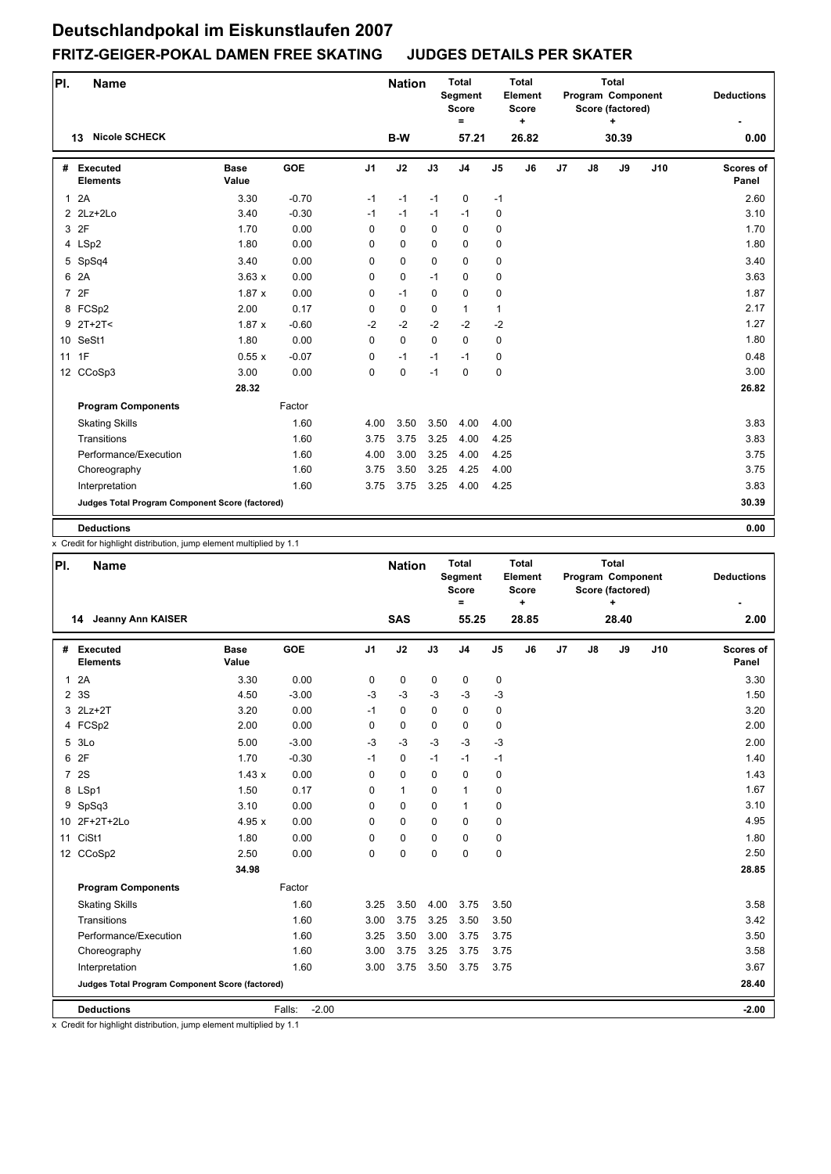| PI.            | <b>Name</b>                                     |                      |         |                | <b>Nation</b> |             | <b>Total</b><br>Segment<br><b>Score</b><br>= |               | <b>Total</b><br>Element<br>Score<br>٠ |    |               | <b>Total</b><br>Program Component<br>Score (factored)<br>٠ |     | <b>Deductions</b>  |
|----------------|-------------------------------------------------|----------------------|---------|----------------|---------------|-------------|----------------------------------------------|---------------|---------------------------------------|----|---------------|------------------------------------------------------------|-----|--------------------|
|                | <b>Nicole SCHECK</b><br>13                      |                      |         |                | B-W           |             | 57.21                                        |               | 26.82                                 |    |               | 30.39                                                      |     | 0.00               |
|                | # Executed<br><b>Elements</b>                   | <b>Base</b><br>Value | GOE     | J <sub>1</sub> | J2            | J3          | J <sub>4</sub>                               | $\mathsf{J}5$ | J <sub>6</sub>                        | J7 | $\mathsf{J}8$ | J9                                                         | J10 | Scores of<br>Panel |
| $\mathbf{1}$   | 2A                                              | 3.30                 | $-0.70$ | $-1$           | $-1$          | $-1$        | 0                                            | $-1$          |                                       |    |               |                                                            |     | 2.60               |
|                | $2$ $2Lz+2Lo$                                   | 3.40                 | $-0.30$ | $-1$           | $-1$          | $-1$        | $-1$                                         | 0             |                                       |    |               |                                                            |     | 3.10               |
|                | 3 2F                                            | 1.70                 | 0.00    | $\Omega$       | $\mathbf 0$   | $\Omega$    | $\mathbf 0$                                  | 0             |                                       |    |               |                                                            |     | 1.70               |
|                | 4 LSp2                                          | 1.80                 | 0.00    | 0              | 0             | $\mathbf 0$ | $\mathbf 0$                                  | 0             |                                       |    |               |                                                            |     | 1.80               |
|                | 5 SpSq4                                         | 3.40                 | 0.00    | $\Omega$       | $\mathbf 0$   | $\Omega$    | $\mathbf 0$                                  | 0             |                                       |    |               |                                                            |     | 3.40               |
| 6              | 2A                                              | 3.63x                | 0.00    | $\mathbf 0$    | $\pmb{0}$     | $-1$        | $\mathbf 0$                                  | 0             |                                       |    |               |                                                            |     | 3.63               |
| $\overline{7}$ | 2F                                              | 1.87x                | 0.00    | 0              | $-1$          | $\mathbf 0$ | 0                                            | 0             |                                       |    |               |                                                            |     | 1.87               |
|                | 8 FCSp2                                         | 2.00                 | 0.17    | 0              | $\mathbf 0$   | $\Omega$    | $\mathbf{1}$                                 | $\mathbf{1}$  |                                       |    |               |                                                            |     | 2.17               |
|                | $9$ 2T+2T<                                      | 1.87x                | $-0.60$ | $-2$           | $-2$          | $-2$        | $-2$                                         | $-2$          |                                       |    |               |                                                            |     | 1.27               |
|                | 10 SeSt1                                        | 1.80                 | 0.00    | $\Omega$       | $\mathbf 0$   | $\Omega$    | $\Omega$                                     | 0             |                                       |    |               |                                                            |     | 1.80               |
|                | 11 1F                                           | 0.55x                | $-0.07$ | 0              | $-1$          | $-1$        | $-1$                                         | 0             |                                       |    |               |                                                            |     | 0.48               |
|                | 12 CCoSp3                                       | 3.00                 | 0.00    | $\Omega$       | $\mathbf 0$   | $-1$        | $\mathbf 0$                                  | 0             |                                       |    |               |                                                            |     | 3.00               |
|                |                                                 | 28.32                |         |                |               |             |                                              |               |                                       |    |               |                                                            |     | 26.82              |
|                | <b>Program Components</b>                       |                      | Factor  |                |               |             |                                              |               |                                       |    |               |                                                            |     |                    |
|                | <b>Skating Skills</b>                           |                      | 1.60    | 4.00           | 3.50          | 3.50        | 4.00                                         | 4.00          |                                       |    |               |                                                            |     | 3.83               |
|                | Transitions                                     |                      | 1.60    | 3.75           | 3.75          | 3.25        | 4.00                                         | 4.25          |                                       |    |               |                                                            |     | 3.83               |
|                | Performance/Execution                           |                      | 1.60    | 4.00           | 3.00          | 3.25        | 4.00                                         | 4.25          |                                       |    |               |                                                            |     | 3.75               |
|                | Choreography                                    |                      | 1.60    | 3.75           | 3.50          | 3.25        | 4.25                                         | 4.00          |                                       |    |               |                                                            |     | 3.75               |
|                | Interpretation                                  |                      | 1.60    | 3.75           | 3.75          | 3.25        | 4.00                                         | 4.25          |                                       |    |               |                                                            |     | 3.83               |
|                | Judges Total Program Component Score (factored) |                      |         |                |               |             |                                              |               |                                       |    |               |                                                            |     | 30.39              |
|                | <b>Deductions</b>                               |                      |         |                |               |             |                                              |               |                                       |    |               |                                                            |     | 0.00               |

x Credit for highlight distribution, jump element multiplied by 1.1

| PI.          | <b>Name</b>                                     |                      |                   |                | <b>Nation</b> |             | <b>Total</b><br><b>Segment</b><br><b>Score</b><br>$\equiv$ |                | <b>Total</b><br>Element<br><b>Score</b><br>$\ddot{}$ |    |               | <b>Total</b><br>Program Component<br>Score (factored)<br>÷ |     | <b>Deductions</b>  |
|--------------|-------------------------------------------------|----------------------|-------------------|----------------|---------------|-------------|------------------------------------------------------------|----------------|------------------------------------------------------|----|---------------|------------------------------------------------------------|-----|--------------------|
|              | <b>Jeanny Ann KAISER</b><br>14                  |                      |                   |                | <b>SAS</b>    |             | 55.25                                                      |                | 28.85                                                |    |               | 28.40                                                      |     | 2.00               |
| #            | <b>Executed</b><br><b>Elements</b>              | <b>Base</b><br>Value | <b>GOE</b>        | J <sub>1</sub> | J2            | J3          | J <sub>4</sub>                                             | J <sub>5</sub> | J6                                                   | J7 | $\mathsf{J}8$ | J9                                                         | J10 | Scores of<br>Panel |
| $\mathbf{1}$ | 2A                                              | 3.30                 | 0.00              | 0              | 0             | $\mathbf 0$ | 0                                                          | 0              |                                                      |    |               |                                                            |     | 3.30               |
|              | 2 3 S                                           | 4.50                 | $-3.00$           | $-3$           | $-3$          | $-3$        | $-3$                                                       | -3             |                                                      |    |               |                                                            |     | 1.50               |
|              | 3 2Lz+2T                                        | 3.20                 | 0.00              | $-1$           | $\mathbf 0$   | $\Omega$    | $\mathbf 0$                                                | $\pmb{0}$      |                                                      |    |               |                                                            |     | 3.20               |
|              | 4 FCSp2                                         | 2.00                 | 0.00              | 0              | $\mathbf 0$   | $\Omega$    | $\mathbf 0$                                                | 0              |                                                      |    |               |                                                            |     | 2.00               |
|              | 5 3Lo                                           | 5.00                 | $-3.00$           | $-3$           | $-3$          | $-3$        | $-3$                                                       | $-3$           |                                                      |    |               |                                                            |     | 2.00               |
|              | 6 2F                                            | 1.70                 | $-0.30$           | $-1$           | $\mathbf 0$   | $-1$        | $-1$                                                       | $-1$           |                                                      |    |               |                                                            |     | 1.40               |
|              | 7 2S                                            | 1.43x                | 0.00              | 0              | $\mathbf 0$   | $\Omega$    | $\mathbf 0$                                                | $\mathbf 0$    |                                                      |    |               |                                                            |     | 1.43               |
|              | 8 LSp1                                          | 1.50                 | 0.17              | 0              | $\mathbf{1}$  | $\mathbf 0$ | $\mathbf{1}$                                               | 0              |                                                      |    |               |                                                            |     | 1.67               |
|              | 9 SpSq3                                         | 3.10                 | 0.00              | 0              | $\mathbf 0$   | $\mathbf 0$ | $\mathbf{1}$                                               | 0              |                                                      |    |               |                                                            |     | 3.10               |
|              | 10 2F+2T+2Lo                                    | 4.95 x               | 0.00              | 0              | $\mathbf 0$   | $\Omega$    | $\mathbf 0$                                                | 0              |                                                      |    |               |                                                            |     | 4.95               |
|              | 11 CiSt1                                        | 1.80                 | 0.00              | 0              | 0             | $\Omega$    | $\mathbf 0$                                                | 0              |                                                      |    |               |                                                            |     | 1.80               |
|              | 12 CCoSp2                                       | 2.50                 | 0.00              | 0              | $\mathbf 0$   | $\mathbf 0$ | $\mathbf 0$                                                | $\pmb{0}$      |                                                      |    |               |                                                            |     | 2.50               |
|              |                                                 | 34.98                |                   |                |               |             |                                                            |                |                                                      |    |               |                                                            |     | 28.85              |
|              | <b>Program Components</b>                       |                      | Factor            |                |               |             |                                                            |                |                                                      |    |               |                                                            |     |                    |
|              | <b>Skating Skills</b>                           |                      | 1.60              | 3.25           | 3.50          | 4.00        | 3.75                                                       | 3.50           |                                                      |    |               |                                                            |     | 3.58               |
|              | Transitions                                     |                      | 1.60              | 3.00           | 3.75          | 3.25        | 3.50                                                       | 3.50           |                                                      |    |               |                                                            |     | 3.42               |
|              | Performance/Execution                           |                      | 1.60              | 3.25           | 3.50          | 3.00        | 3.75                                                       | 3.75           |                                                      |    |               |                                                            |     | 3.50               |
|              | Choreography                                    |                      | 1.60              | 3.00           | 3.75          | 3.25        | 3.75                                                       | 3.75           |                                                      |    |               |                                                            |     | 3.58               |
|              | Interpretation                                  |                      | 1.60              | 3.00           | 3.75          | 3.50        | 3.75                                                       | 3.75           |                                                      |    |               |                                                            |     | 3.67               |
|              | Judges Total Program Component Score (factored) |                      |                   |                |               |             |                                                            |                |                                                      |    |               |                                                            |     | 28.40              |
|              | <b>Deductions</b>                               |                      | $-2.00$<br>Falls: |                |               |             |                                                            |                |                                                      |    |               |                                                            |     | $-2.00$            |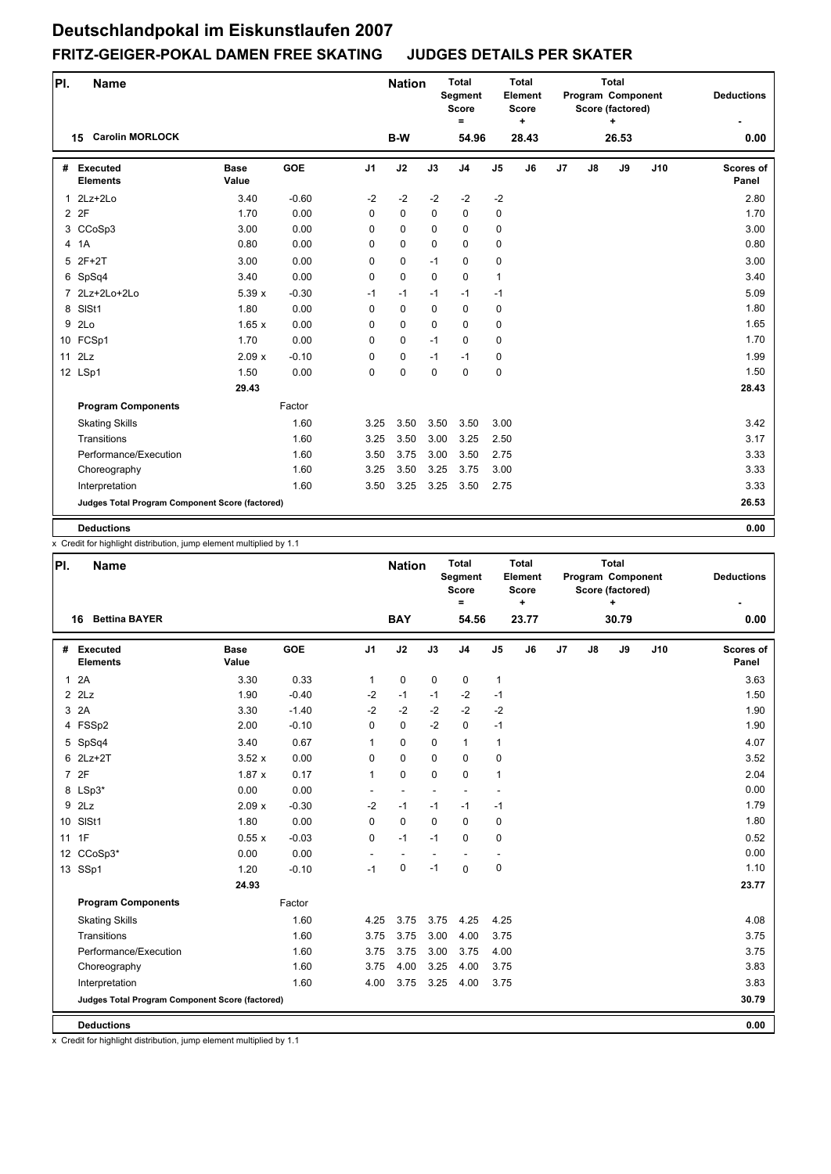| PI.          | <b>Name</b>                                     |                      |         |          | <b>Nation</b> |             | <b>Total</b><br><b>Segment</b><br><b>Score</b><br>$\equiv$ |                | <b>Total</b><br>Element<br><b>Score</b><br>÷ |    |               | <b>Total</b><br>Program Component<br>Score (factored)<br>٠ |     | <b>Deductions</b>         |
|--------------|-------------------------------------------------|----------------------|---------|----------|---------------|-------------|------------------------------------------------------------|----------------|----------------------------------------------|----|---------------|------------------------------------------------------------|-----|---------------------------|
|              | <b>Carolin MORLOCK</b><br>15                    |                      |         |          | B-W           |             | 54.96                                                      |                | 28.43                                        |    |               | 26.53                                                      |     | 0.00                      |
| #            | <b>Executed</b><br><b>Elements</b>              | <b>Base</b><br>Value | GOE     | J1       | J2            | J3          | J <sub>4</sub>                                             | J <sub>5</sub> | J6                                           | J7 | $\mathsf{J}8$ | J9                                                         | J10 | <b>Scores of</b><br>Panel |
| $\mathbf{1}$ | $2Lz+2Lo$                                       | 3.40                 | $-0.60$ | $-2$     | $-2$          | $-2$        | $-2$                                                       | $-2$           |                                              |    |               |                                                            |     | 2.80                      |
|              | 2 2F                                            | 1.70                 | 0.00    | 0        | 0             | 0           | $\mathbf 0$                                                | 0              |                                              |    |               |                                                            |     | 1.70                      |
|              | 3 CCoSp3                                        | 3.00                 | 0.00    | 0        | 0             | $\Omega$    | $\mathbf 0$                                                | 0              |                                              |    |               |                                                            |     | 3.00                      |
|              | 4 1A                                            | 0.80                 | 0.00    | 0        | 0             | 0           | $\mathbf 0$                                                | 0              |                                              |    |               |                                                            |     | 0.80                      |
| 5            | $2F+2T$                                         | 3.00                 | 0.00    | 0        | 0             | $-1$        | $\mathbf 0$                                                | 0              |                                              |    |               |                                                            |     | 3.00                      |
|              | 6 SpSq4                                         | 3.40                 | 0.00    | 0        | 0             | $\mathbf 0$ | $\mathbf 0$                                                | $\mathbf{1}$   |                                              |    |               |                                                            |     | 3.40                      |
|              | 7 2Lz+2Lo+2Lo                                   | 5.39x                | $-0.30$ | $-1$     | $-1$          | $-1$        | $-1$                                                       | $-1$           |                                              |    |               |                                                            |     | 5.09                      |
|              | 8 SISt1                                         | 1.80                 | 0.00    | 0        | 0             | $\Omega$    | $\mathbf 0$                                                | 0              |                                              |    |               |                                                            |     | 1.80                      |
|              | 9 2Lo                                           | 1.65x                | 0.00    | $\Omega$ | 0             | $\Omega$    | $\Omega$                                                   | 0              |                                              |    |               |                                                            |     | 1.65                      |
|              | 10 FCSp1                                        | 1.70                 | 0.00    | $\Omega$ | 0             | $-1$        | $\mathbf 0$                                                | 0              |                                              |    |               |                                                            |     | 1.70                      |
|              | $11$ $2Lz$                                      | 2.09x                | $-0.10$ | 0        | 0             | $-1$        | $-1$                                                       | 0              |                                              |    |               |                                                            |     | 1.99                      |
|              | 12 LSp1                                         | 1.50                 | 0.00    | 0        | 0             | $\Omega$    | $\mathbf 0$                                                | 0              |                                              |    |               |                                                            |     | 1.50                      |
|              |                                                 | 29.43                |         |          |               |             |                                                            |                |                                              |    |               |                                                            |     | 28.43                     |
|              | <b>Program Components</b>                       |                      | Factor  |          |               |             |                                                            |                |                                              |    |               |                                                            |     |                           |
|              | <b>Skating Skills</b>                           |                      | 1.60    | 3.25     | 3.50          | 3.50        | 3.50                                                       | 3.00           |                                              |    |               |                                                            |     | 3.42                      |
|              | Transitions                                     |                      | 1.60    | 3.25     | 3.50          | 3.00        | 3.25                                                       | 2.50           |                                              |    |               |                                                            |     | 3.17                      |
|              | Performance/Execution                           |                      | 1.60    | 3.50     | 3.75          | 3.00        | 3.50                                                       | 2.75           |                                              |    |               |                                                            |     | 3.33                      |
|              | Choreography                                    |                      | 1.60    | 3.25     | 3.50          | 3.25        | 3.75                                                       | 3.00           |                                              |    |               |                                                            |     | 3.33                      |
|              | Interpretation                                  |                      | 1.60    | 3.50     | 3.25          | 3.25        | 3.50                                                       | 2.75           |                                              |    |               |                                                            |     | 3.33                      |
|              | Judges Total Program Component Score (factored) |                      |         |          |               |             |                                                            |                |                                              |    |               |                                                            |     | 26.53                     |
|              | <b>Deductions</b>                               |                      |         |          |               |             |                                                            |                |                                              |    |               |                                                            |     | 0.00                      |

x Credit for highlight distribution, jump element multiplied by 1.1

| PI.          | <b>Name</b>                                     |                      |            |                | <b>Nation</b>  |             | <b>Total</b><br>Segment<br><b>Score</b><br>$\equiv$ |                          | <b>Total</b><br>Element<br><b>Score</b><br>÷ |    |    | <b>Total</b><br>Program Component<br>Score (factored)<br>٠ |     | <b>Deductions</b>         |
|--------------|-------------------------------------------------|----------------------|------------|----------------|----------------|-------------|-----------------------------------------------------|--------------------------|----------------------------------------------|----|----|------------------------------------------------------------|-----|---------------------------|
|              | <b>Bettina BAYER</b><br>16                      |                      |            |                | <b>BAY</b>     |             | 54.56                                               |                          | 23.77                                        |    |    | 30.79                                                      |     | 0.00                      |
| #            | Executed<br><b>Elements</b>                     | <b>Base</b><br>Value | <b>GOE</b> | J <sub>1</sub> | J2             | J3          | J <sub>4</sub>                                      | J <sub>5</sub>           | J6                                           | J7 | J8 | J9                                                         | J10 | <b>Scores of</b><br>Panel |
| $\mathbf{1}$ | 2A                                              | 3.30                 | 0.33       | $\mathbf{1}$   | 0              | 0           | 0                                                   | $\mathbf{1}$             |                                              |    |    |                                                            |     | 3.63                      |
|              | $2$ $2$ Lz                                      | 1.90                 | $-0.40$    | $-2$           | $-1$           | $-1$        | $-2$                                                | $-1$                     |                                              |    |    |                                                            |     | 1.50                      |
| 3            | 2A                                              | 3.30                 | $-1.40$    | $-2$           | $-2$           | $-2$        | $-2$                                                | $-2$                     |                                              |    |    |                                                            |     | 1.90                      |
|              | 4 FSSp2                                         | 2.00                 | $-0.10$    | $\Omega$       | $\mathbf 0$    | $-2$        | $\mathbf 0$                                         | $-1$                     |                                              |    |    |                                                            |     | 1.90                      |
|              | 5 SpSq4                                         | 3.40                 | 0.67       | $\mathbf{1}$   | 0              | $\mathbf 0$ | $\mathbf{1}$                                        | $\mathbf{1}$             |                                              |    |    |                                                            |     | 4.07                      |
|              | 6 2Lz+2T                                        | 3.52x                | 0.00       | 0              | $\mathbf 0$    | $\mathbf 0$ | 0                                                   | $\pmb{0}$                |                                              |    |    |                                                            |     | 3.52                      |
|              | 7 2F                                            | 1.87x                | 0.17       | $\mathbf{1}$   | $\mathbf 0$    | $\mathbf 0$ | $\mathbf 0$                                         | $\mathbf{1}$             |                                              |    |    |                                                            |     | 2.04                      |
|              | 8 LSp3*                                         | 0.00                 | 0.00       | $\overline{a}$ | $\overline{a}$ | ÷,          | ä,                                                  | ٠                        |                                              |    |    |                                                            |     | 0.00                      |
| 9            | 2Lz                                             | 2.09x                | $-0.30$    | $-2$           | $-1$           | $-1$        | $-1$                                                | $-1$                     |                                              |    |    |                                                            |     | 1.79                      |
|              | 10 SISt1                                        | 1.80                 | 0.00       | 0              | $\pmb{0}$      | $\mathbf 0$ | 0                                                   | 0                        |                                              |    |    |                                                            |     | 1.80                      |
|              | 11 1F                                           | 0.55x                | $-0.03$    | 0              | $-1$           | $-1$        | $\mathbf 0$                                         | 0                        |                                              |    |    |                                                            |     | 0.52                      |
|              | 12 CCoSp3*                                      | 0.00                 | 0.00       | ٠              | $\overline{a}$ |             |                                                     | $\overline{\phantom{a}}$ |                                              |    |    |                                                            |     | 0.00                      |
|              | 13 SSp1                                         | 1.20                 | $-0.10$    | $-1$           | $\mathbf 0$    | $-1$        | $\mathbf 0$                                         | $\pmb{0}$                |                                              |    |    |                                                            |     | 1.10                      |
|              |                                                 | 24.93                |            |                |                |             |                                                     |                          |                                              |    |    |                                                            |     | 23.77                     |
|              | <b>Program Components</b>                       |                      | Factor     |                |                |             |                                                     |                          |                                              |    |    |                                                            |     |                           |
|              | <b>Skating Skills</b>                           |                      | 1.60       | 4.25           | 3.75           | 3.75        | 4.25                                                | 4.25                     |                                              |    |    |                                                            |     | 4.08                      |
|              | Transitions                                     |                      | 1.60       | 3.75           | 3.75           | 3.00        | 4.00                                                | 3.75                     |                                              |    |    |                                                            |     | 3.75                      |
|              | Performance/Execution                           |                      | 1.60       | 3.75           | 3.75           | 3.00        | 3.75                                                | 4.00                     |                                              |    |    |                                                            |     | 3.75                      |
|              | Choreography                                    |                      | 1.60       | 3.75           | 4.00           | 3.25        | 4.00                                                | 3.75                     |                                              |    |    |                                                            |     | 3.83                      |
|              | Interpretation                                  |                      | 1.60       | 4.00           | 3.75           | 3.25        | 4.00                                                | 3.75                     |                                              |    |    |                                                            |     | 3.83                      |
|              | Judges Total Program Component Score (factored) |                      |            |                |                |             |                                                     |                          |                                              |    |    |                                                            |     | 30.79                     |
|              | <b>Deductions</b>                               |                      |            |                |                |             |                                                     |                          |                                              |    |    |                                                            |     | 0.00                      |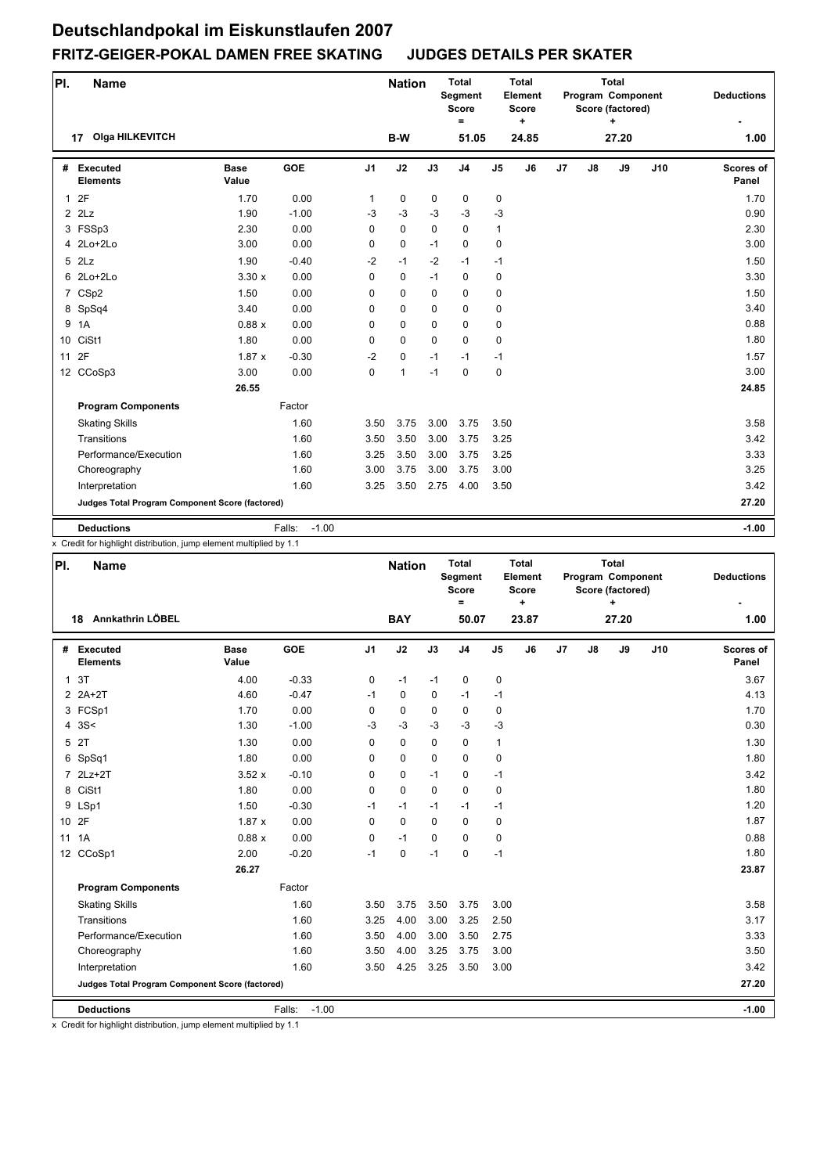| PI.          | <b>Name</b>                                     |                      |                   |              | <b>Nation</b> |          | <b>Total</b><br>Segment<br><b>Score</b><br>$\equiv$ |                | <b>Total</b><br>Element<br><b>Score</b><br>٠ |    |               | <b>Total</b><br>Program Component<br>Score (factored)<br>٠ |     | <b>Deductions</b>         |
|--------------|-------------------------------------------------|----------------------|-------------------|--------------|---------------|----------|-----------------------------------------------------|----------------|----------------------------------------------|----|---------------|------------------------------------------------------------|-----|---------------------------|
|              | <b>Olga HILKEVITCH</b><br>17                    |                      |                   |              | B-W           |          | 51.05                                               |                | 24.85                                        |    |               | 27.20                                                      |     | 1.00                      |
| #            | Executed<br><b>Elements</b>                     | <b>Base</b><br>Value | GOE               | J1           | J2            | J3       | J <sub>4</sub>                                      | J <sub>5</sub> | J6                                           | J7 | $\mathsf{J}8$ | J9                                                         | J10 | <b>Scores of</b><br>Panel |
| $\mathbf{1}$ | 2F                                              | 1.70                 | 0.00              | $\mathbf{1}$ | 0             | 0        | $\pmb{0}$                                           | 0              |                                              |    |               |                                                            |     | 1.70                      |
|              | $2$ $2$ $Lz$                                    | 1.90                 | $-1.00$           | $-3$         | $-3$          | $-3$     | $-3$                                                | $-3$           |                                              |    |               |                                                            |     | 0.90                      |
|              | 3 FSSp3                                         | 2.30                 | 0.00              | $\Omega$     | 0             | $\Omega$ | $\Omega$                                            | $\mathbf{1}$   |                                              |    |               |                                                            |     | 2.30                      |
|              | 4 2Lo+2Lo                                       | 3.00                 | 0.00              | 0            | 0             | $-1$     | $\mathbf 0$                                         | 0              |                                              |    |               |                                                            |     | 3.00                      |
|              | $5$ $2Lz$                                       | 1.90                 | $-0.40$           | $-2$         | $-1$          | $-2$     | $-1$                                                | $-1$           |                                              |    |               |                                                            |     | 1.50                      |
|              | 6 2Lo+2Lo                                       | 3.30x                | 0.00              | 0            | 0             | $-1$     | $\mathbf 0$                                         | 0              |                                              |    |               |                                                            |     | 3.30                      |
|              | 7 CSp2                                          | 1.50                 | 0.00              | 0            | 0             | $\Omega$ | $\mathbf 0$                                         | 0              |                                              |    |               |                                                            |     | 1.50                      |
|              | 8 SpSq4                                         | 3.40                 | 0.00              | 0            | 0             | 0        | $\mathbf 0$                                         | 0              |                                              |    |               |                                                            |     | 3.40                      |
| 9            | 1A                                              | 0.88x                | 0.00              | $\Omega$     | 0             | $\Omega$ | $\mathbf 0$                                         | 0              |                                              |    |               |                                                            |     | 0.88                      |
|              | 10 CiSt1                                        | 1.80                 | 0.00              | 0            | $\Omega$      | $\Omega$ | $\Omega$                                            | 0              |                                              |    |               |                                                            |     | 1.80                      |
| 11           | 2F                                              | 1.87x                | $-0.30$           | $-2$         | 0             | $-1$     | $-1$                                                | $-1$           |                                              |    |               |                                                            |     | 1.57                      |
|              | 12 CCoSp3                                       | 3.00                 | 0.00              | 0            | $\mathbf{1}$  | $-1$     | $\mathbf 0$                                         | 0              |                                              |    |               |                                                            |     | 3.00                      |
|              |                                                 | 26.55                |                   |              |               |          |                                                     |                |                                              |    |               |                                                            |     | 24.85                     |
|              | <b>Program Components</b>                       |                      | Factor            |              |               |          |                                                     |                |                                              |    |               |                                                            |     |                           |
|              | <b>Skating Skills</b>                           |                      | 1.60              | 3.50         | 3.75          | 3.00     | 3.75                                                | 3.50           |                                              |    |               |                                                            |     | 3.58                      |
|              | Transitions                                     |                      | 1.60              | 3.50         | 3.50          | 3.00     | 3.75                                                | 3.25           |                                              |    |               |                                                            |     | 3.42                      |
|              | Performance/Execution                           |                      | 1.60              | 3.25         | 3.50          | 3.00     | 3.75                                                | 3.25           |                                              |    |               |                                                            |     | 3.33                      |
|              | Choreography                                    |                      | 1.60              | 3.00         | 3.75          | 3.00     | 3.75                                                | 3.00           |                                              |    |               |                                                            |     | 3.25                      |
|              | Interpretation                                  |                      | 1.60              | 3.25         | 3.50          | 2.75     | 4.00                                                | 3.50           |                                              |    |               |                                                            |     | 3.42                      |
|              | Judges Total Program Component Score (factored) |                      |                   |              |               |          |                                                     |                |                                              |    |               |                                                            |     | 27.20                     |
|              | <b>Deductions</b>                               |                      | $-1.00$<br>Falls: |              |               |          |                                                     |                |                                              |    |               |                                                            |     | $-1.00$                   |

x Credit for highlight distribution, jump element multiplied by 1.1

| PI. | <b>Name</b>                                     |                      |                   |                | <b>Nation</b> |             | <b>Total</b><br>Segment<br><b>Score</b><br>$=$ |                | <b>Total</b><br>Element<br><b>Score</b><br>٠ |    |               | <b>Total</b><br>Program Component<br>Score (factored)<br>÷ |     | <b>Deductions</b>  |
|-----|-------------------------------------------------|----------------------|-------------------|----------------|---------------|-------------|------------------------------------------------|----------------|----------------------------------------------|----|---------------|------------------------------------------------------------|-----|--------------------|
|     | Annkathrin LÖBEL<br>18                          |                      |                   |                | <b>BAY</b>    |             | 50.07                                          |                | 23.87                                        |    |               | 27.20                                                      |     | 1.00               |
|     | # Executed<br><b>Elements</b>                   | <b>Base</b><br>Value | <b>GOE</b>        | J <sub>1</sub> | J2            | J3          | J <sub>4</sub>                                 | J <sub>5</sub> | J <sub>6</sub>                               | J7 | $\mathsf{J}8$ | J9                                                         | J10 | Scores of<br>Panel |
|     | 1 <sub>3T</sub>                                 | 4.00                 | $-0.33$           | 0              | $-1$          | $-1$        | $\mathbf 0$                                    | 0              |                                              |    |               |                                                            |     | 3.67               |
|     | $2$ $2A+2T$                                     | 4.60                 | $-0.47$           | $-1$           | $\mathbf 0$   | $\mathbf 0$ | $-1$                                           | $-1$           |                                              |    |               |                                                            |     | 4.13               |
|     | 3 FCSp1                                         | 1.70                 | 0.00              | 0              | 0             | 0           | 0                                              | $\mathbf 0$    |                                              |    |               |                                                            |     | 1.70               |
|     | 4 $3S<$                                         | 1.30                 | $-1.00$           | $-3$           | $-3$          | $-3$        | $-3$                                           | $-3$           |                                              |    |               |                                                            |     | 0.30               |
|     | 5 2T                                            | 1.30                 | 0.00              | 0              | $\mathbf 0$   | $\Omega$    | $\mathbf 0$                                    | $\mathbf{1}$   |                                              |    |               |                                                            |     | 1.30               |
|     | 6 SpSq1                                         | 1.80                 | 0.00              | 0              | $\mathbf 0$   | 0           | 0                                              | $\pmb{0}$      |                                              |    |               |                                                            |     | 1.80               |
|     | 7 2Lz+2T                                        | 3.52x                | $-0.10$           | 0              | 0             | $-1$        | $\Omega$                                       | $-1$           |                                              |    |               |                                                            |     | 3.42               |
|     | 8 CiSt1                                         | 1.80                 | 0.00              | 0              | $\mathbf 0$   | $\mathbf 0$ | 0                                              | $\mathbf 0$    |                                              |    |               |                                                            |     | 1.80               |
|     | 9 LSp1                                          | 1.50                 | $-0.30$           | $-1$           | $-1$          | $-1$        | $-1$                                           | $-1$           |                                              |    |               |                                                            |     | 1.20               |
|     | 10 2F                                           | 1.87x                | 0.00              | 0              | 0             | $\Omega$    | $\mathbf 0$                                    | $\mathbf 0$    |                                              |    |               |                                                            |     | 1.87               |
| 11  | 1A                                              | 0.88x                | 0.00              | 0              | $-1$          | $\Omega$    | $\Omega$                                       | $\pmb{0}$      |                                              |    |               |                                                            |     | 0.88               |
|     | 12 CCoSp1                                       | 2.00                 | $-0.20$           | $-1$           | $\mathbf 0$   | $-1$        | $\mathbf 0$                                    | $-1$           |                                              |    |               |                                                            |     | 1.80               |
|     |                                                 | 26.27                |                   |                |               |             |                                                |                |                                              |    |               |                                                            |     | 23.87              |
|     | <b>Program Components</b>                       |                      | Factor            |                |               |             |                                                |                |                                              |    |               |                                                            |     |                    |
|     | <b>Skating Skills</b>                           |                      | 1.60              | 3.50           | 3.75          | 3.50        | 3.75                                           | 3.00           |                                              |    |               |                                                            |     | 3.58               |
|     | Transitions                                     |                      | 1.60              | 3.25           | 4.00          | 3.00        | 3.25                                           | 2.50           |                                              |    |               |                                                            |     | 3.17               |
|     | Performance/Execution                           |                      | 1.60              | 3.50           | 4.00          | 3.00        | 3.50                                           | 2.75           |                                              |    |               |                                                            |     | 3.33               |
|     | Choreography                                    |                      | 1.60              | 3.50           | 4.00          | 3.25        | 3.75                                           | 3.00           |                                              |    |               |                                                            |     | 3.50               |
|     | Interpretation                                  |                      | 1.60              | 3.50           | 4.25          | 3.25        | 3.50                                           | 3.00           |                                              |    |               |                                                            |     | 3.42               |
|     | Judges Total Program Component Score (factored) |                      |                   |                |               |             |                                                |                |                                              |    |               |                                                            |     | 27.20              |
|     | <b>Deductions</b>                               |                      | $-1.00$<br>Falls: |                |               |             |                                                |                |                                              |    |               |                                                            |     | $-1.00$            |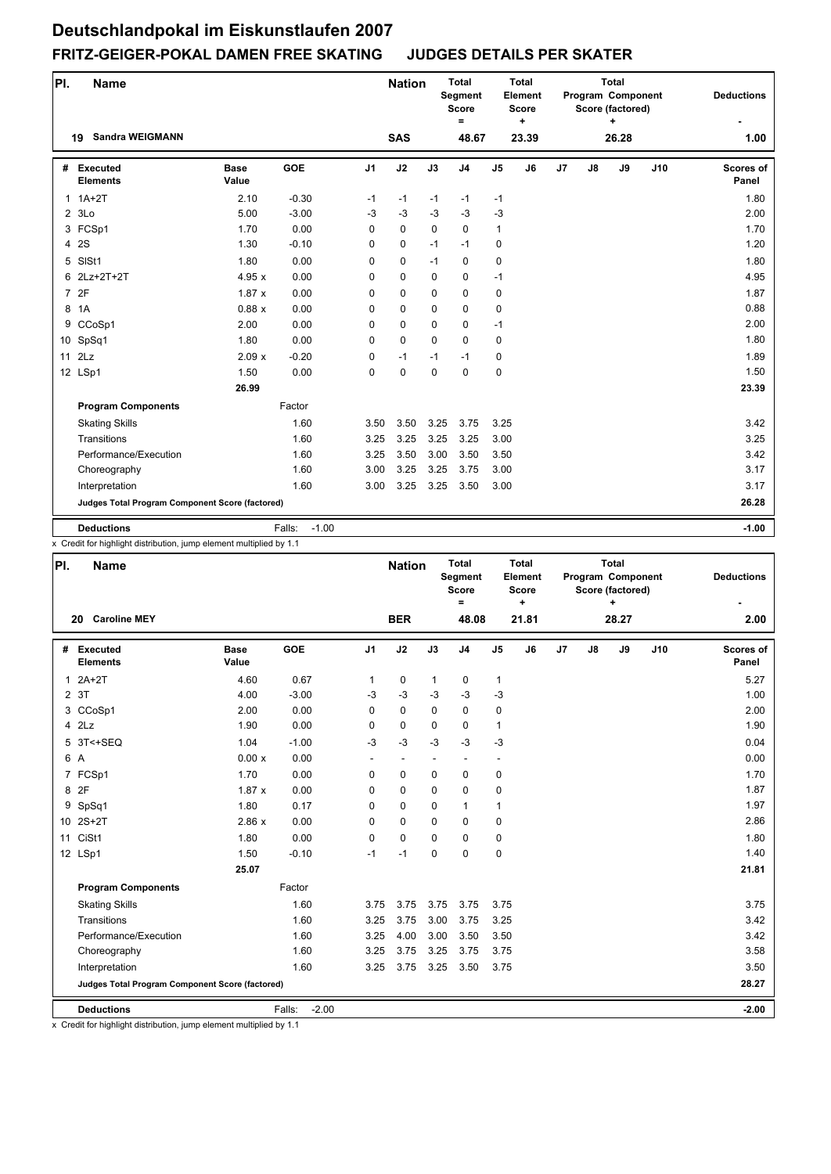| PI.          | <b>Name</b>                                     |                      |                   |                | <b>Nation</b> |             | <b>Total</b><br>Segment<br><b>Score</b><br>$\equiv$ |                | <b>Total</b><br>Element<br><b>Score</b><br>÷ |                |    | <b>Total</b><br>Program Component<br>Score (factored)<br>٠ |     | <b>Deductions</b>         |
|--------------|-------------------------------------------------|----------------------|-------------------|----------------|---------------|-------------|-----------------------------------------------------|----------------|----------------------------------------------|----------------|----|------------------------------------------------------------|-----|---------------------------|
|              | <b>Sandra WEIGMANN</b><br>19                    |                      |                   |                | <b>SAS</b>    |             | 48.67                                               |                | 23.39                                        |                |    | 26.28                                                      |     | 1.00                      |
|              | # Executed<br><b>Elements</b>                   | <b>Base</b><br>Value | <b>GOE</b>        | J <sub>1</sub> | J2            | J3          | J <sub>4</sub>                                      | J <sub>5</sub> | J <sub>6</sub>                               | J <sub>7</sub> | J8 | J9                                                         | J10 | <b>Scores of</b><br>Panel |
| $\mathbf{1}$ | $1A+2T$                                         | 2.10                 | $-0.30$           | $-1$           | $-1$          | $-1$        | $-1$                                                | $-1$           |                                              |                |    |                                                            |     | 1.80                      |
|              | 23Lo                                            | 5.00                 | $-3.00$           | $-3$           | $-3$          | $-3$        | $-3$                                                | $-3$           |                                              |                |    |                                                            |     | 2.00                      |
|              | 3 FCSp1                                         | 1.70                 | 0.00              | 0              | $\mathbf 0$   | $\mathbf 0$ | $\mathbf 0$                                         | $\mathbf{1}$   |                                              |                |    |                                                            |     | 1.70                      |
|              | 4 2S                                            | 1.30                 | $-0.10$           | 0              | $\pmb{0}$     | $-1$        | $-1$                                                | 0              |                                              |                |    |                                                            |     | 1.20                      |
| 5            | SISt1                                           | 1.80                 | 0.00              | 0              | $\mathbf 0$   | $-1$        | $\mathbf 0$                                         | 0              |                                              |                |    |                                                            |     | 1.80                      |
| 6.           | 2Lz+2T+2T                                       | 4.95 x               | 0.00              | 0              | $\mathbf 0$   | $\mathbf 0$ | 0                                                   | $-1$           |                                              |                |    |                                                            |     | 4.95                      |
|              | 7 2F                                            | 1.87x                | 0.00              | 0              | 0             | $\mathbf 0$ | $\mathbf 0$                                         | 0              |                                              |                |    |                                                            |     | 1.87                      |
|              | 8 1A                                            | 0.88x                | 0.00              | 0              | 0             | $\Omega$    | $\mathbf 0$                                         | 0              |                                              |                |    |                                                            |     | 0.88                      |
| 9            | CCoSp1                                          | 2.00                 | 0.00              | 0              | $\mathbf 0$   | $\mathbf 0$ | $\mathbf 0$                                         | $-1$           |                                              |                |    |                                                            |     | 2.00                      |
|              | 10 SpSq1                                        | 1.80                 | 0.00              | 0              | $\mathbf 0$   | $\Omega$    | $\mathbf 0$                                         | 0              |                                              |                |    |                                                            |     | 1.80                      |
|              | 11 2Lz                                          | 2.09x                | $-0.20$           | 0              | $-1$          | $-1$        | $-1$                                                | 0              |                                              |                |    |                                                            |     | 1.89                      |
|              | 12 LSp1                                         | 1.50                 | 0.00              | 0              | $\mathbf 0$   | $\mathbf 0$ | $\mathbf 0$                                         | 0              |                                              |                |    |                                                            |     | 1.50                      |
|              |                                                 | 26.99                |                   |                |               |             |                                                     |                |                                              |                |    |                                                            |     | 23.39                     |
|              | <b>Program Components</b>                       |                      | Factor            |                |               |             |                                                     |                |                                              |                |    |                                                            |     |                           |
|              | <b>Skating Skills</b>                           |                      | 1.60              | 3.50           | 3.50          | 3.25        | 3.75                                                | 3.25           |                                              |                |    |                                                            |     | 3.42                      |
|              | Transitions                                     |                      | 1.60              | 3.25           | 3.25          | 3.25        | 3.25                                                | 3.00           |                                              |                |    |                                                            |     | 3.25                      |
|              | Performance/Execution                           |                      | 1.60              | 3.25           | 3.50          | 3.00        | 3.50                                                | 3.50           |                                              |                |    |                                                            |     | 3.42                      |
|              | Choreography                                    |                      | 1.60              | 3.00           | 3.25          | 3.25        | 3.75                                                | 3.00           |                                              |                |    |                                                            |     | 3.17                      |
|              | Interpretation                                  |                      | 1.60              | 3.00           | 3.25          | 3.25        | 3.50                                                | 3.00           |                                              |                |    |                                                            |     | 3.17                      |
|              | Judges Total Program Component Score (factored) |                      |                   |                |               |             |                                                     |                |                                              |                |    |                                                            |     | 26.28                     |
|              | <b>Deductions</b>                               |                      | $-1.00$<br>Falls: |                |               |             |                                                     |                |                                              |                |    |                                                            |     | $-1.00$                   |

x Credit for highlight distribution, jump element multiplied by 1.1

| PI. | <b>Name</b>                                     |                      |                   |                | <b>Nation</b>            |              | <b>Total</b><br>Segment<br><b>Score</b><br>$=$ |                          | <b>Total</b><br>Element<br><b>Score</b><br>$\ddot{}$ |    |               | <b>Total</b><br>Program Component<br>Score (factored)<br>÷ |     | <b>Deductions</b>  |
|-----|-------------------------------------------------|----------------------|-------------------|----------------|--------------------------|--------------|------------------------------------------------|--------------------------|------------------------------------------------------|----|---------------|------------------------------------------------------------|-----|--------------------|
|     | <b>Caroline MEY</b><br>20                       |                      |                   |                | <b>BER</b>               |              | 48.08                                          |                          | 21.81                                                |    |               | 28.27                                                      |     | 2.00               |
|     | # Executed<br><b>Elements</b>                   | <b>Base</b><br>Value | <b>GOE</b>        | J <sub>1</sub> | J2                       | J3           | J <sub>4</sub>                                 | J <sub>5</sub>           | J6                                                   | J7 | $\mathsf{J}8$ | J9                                                         | J10 | Scores of<br>Panel |
|     | $12A+2T$                                        | 4.60                 | 0.67              | 1              | 0                        | $\mathbf{1}$ | 0                                              | $\mathbf{1}$             |                                                      |    |               |                                                            |     | 5.27               |
|     | 2 3T                                            | 4.00                 | $-3.00$           | $-3$           | $-3$                     | $-3$         | $-3$                                           | $-3$                     |                                                      |    |               |                                                            |     | 1.00               |
|     | 3 CCoSp1                                        | 2.00                 | 0.00              | $\Omega$       | $\mathbf 0$              | $\Omega$     | $\mathbf{0}$                                   | 0                        |                                                      |    |               |                                                            |     | 2.00               |
|     | $4$ $2Lz$                                       | 1.90                 | 0.00              | 0              | $\mathbf 0$              | $\Omega$     | $\Omega$                                       | $\mathbf{1}$             |                                                      |    |               |                                                            |     | 1.90               |
|     | 5 3T<+SEQ                                       | 1.04                 | $-1.00$           | $-3$           | $-3$                     | $-3$         | $-3$                                           | $-3$                     |                                                      |    |               |                                                            |     | 0.04               |
|     | 6 A                                             | 0.00 x               | 0.00              |                | $\overline{\phantom{a}}$ |              | ٠                                              | $\overline{\phantom{a}}$ |                                                      |    |               |                                                            |     | 0.00               |
|     | 7 FCSp1                                         | 1.70                 | 0.00              | 0              | $\mathbf 0$              | $\mathbf 0$  | $\Omega$                                       | $\mathbf 0$              |                                                      |    |               |                                                            |     | 1.70               |
|     | 8 2F                                            | 1.87x                | 0.00              | 0              | $\mathbf 0$              | $\Omega$     | $\mathbf 0$                                    | 0                        |                                                      |    |               |                                                            |     | 1.87               |
|     | 9 SpSq1                                         | 1.80                 | 0.17              | 0              | $\mathbf 0$              | $\mathbf 0$  | $\mathbf{1}$                                   | $\mathbf{1}$             |                                                      |    |               |                                                            |     | 1.97               |
|     | 10 2S+2T                                        | 2.86x                | 0.00              | 0              | $\mathbf 0$              | $\mathbf 0$  | $\mathbf 0$                                    | 0                        |                                                      |    |               |                                                            |     | 2.86               |
|     | 11 CiSt1                                        | 1.80                 | 0.00              | 0              | $\mathbf 0$              | $\Omega$     | $\Omega$                                       | 0                        |                                                      |    |               |                                                            |     | 1.80               |
|     | 12 LSp1                                         | 1.50                 | $-0.10$           | $-1$           | $-1$                     | $\mathbf 0$  | $\mathbf 0$                                    | $\pmb{0}$                |                                                      |    |               |                                                            |     | 1.40               |
|     |                                                 | 25.07                |                   |                |                          |              |                                                |                          |                                                      |    |               |                                                            |     | 21.81              |
|     | <b>Program Components</b>                       |                      | Factor            |                |                          |              |                                                |                          |                                                      |    |               |                                                            |     |                    |
|     | <b>Skating Skills</b>                           |                      | 1.60              | 3.75           | 3.75                     | 3.75         | 3.75                                           | 3.75                     |                                                      |    |               |                                                            |     | 3.75               |
|     | Transitions                                     |                      | 1.60              | 3.25           | 3.75                     | 3.00         | 3.75                                           | 3.25                     |                                                      |    |               |                                                            |     | 3.42               |
|     | Performance/Execution                           |                      | 1.60              | 3.25           | 4.00                     | 3.00         | 3.50                                           | 3.50                     |                                                      |    |               |                                                            |     | 3.42               |
|     | Choreography                                    |                      | 1.60              | 3.25           | 3.75                     | 3.25         | 3.75                                           | 3.75                     |                                                      |    |               |                                                            |     | 3.58               |
|     | Interpretation                                  |                      | 1.60              | 3.25           | 3.75                     | 3.25         | 3.50                                           | 3.75                     |                                                      |    |               |                                                            |     | 3.50               |
|     | Judges Total Program Component Score (factored) |                      |                   |                |                          |              |                                                |                          |                                                      |    |               |                                                            |     | 28.27              |
|     | <b>Deductions</b>                               |                      | $-2.00$<br>Falls: |                |                          |              |                                                |                          |                                                      |    |               |                                                            |     | $-2.00$            |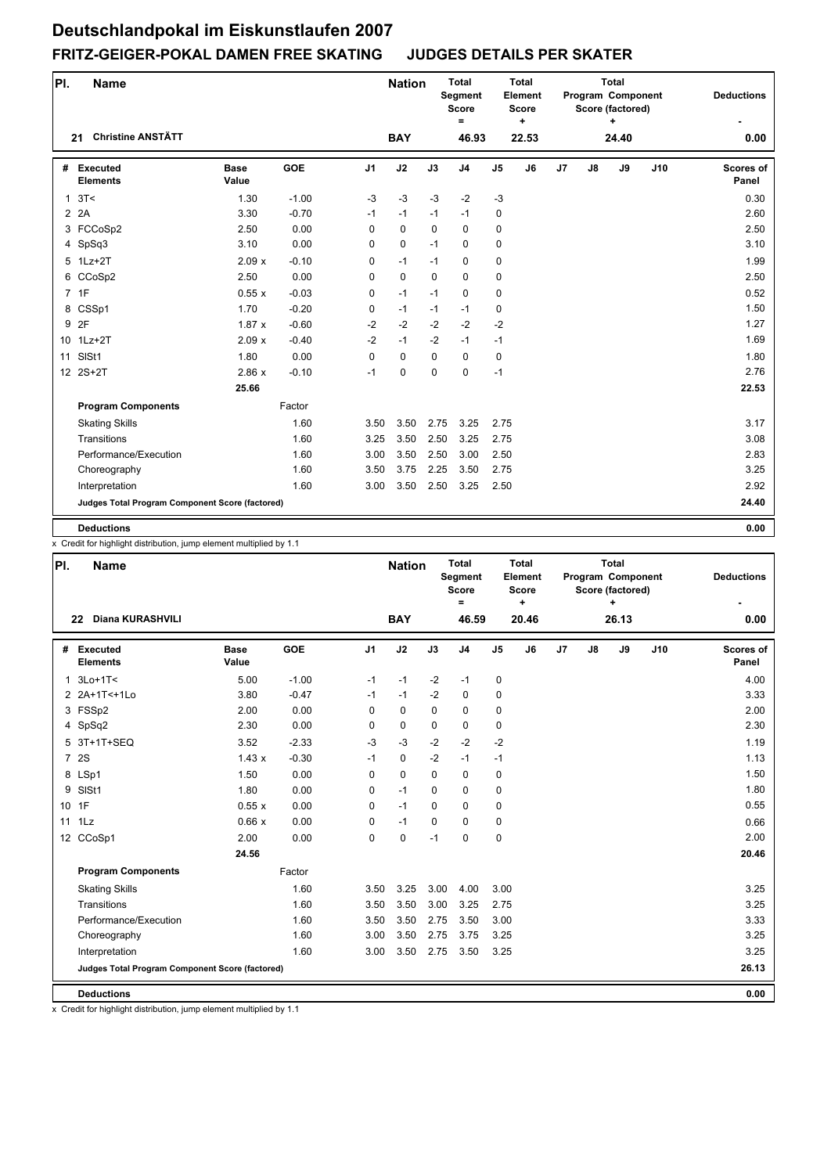| PI.          | <b>Name</b>                                     |                      |            |                | <b>Nation</b> |             | <b>Total</b><br><b>Segment</b><br>Score<br>= |                | Total<br>Element<br><b>Score</b><br>٠ |    |    | <b>Total</b><br>Program Component<br>Score (factored)<br>÷ |     | <b>Deductions</b>         |
|--------------|-------------------------------------------------|----------------------|------------|----------------|---------------|-------------|----------------------------------------------|----------------|---------------------------------------|----|----|------------------------------------------------------------|-----|---------------------------|
|              | <b>Christine ANSTÄTT</b><br>21                  |                      |            |                | <b>BAY</b>    |             | 46.93                                        |                | 22.53                                 |    |    | 24.40                                                      |     | 0.00                      |
| #            | Executed<br><b>Elements</b>                     | <b>Base</b><br>Value | <b>GOE</b> | J <sub>1</sub> | J2            | J3          | J <sub>4</sub>                               | J <sub>5</sub> | J6                                    | J7 | J8 | J9                                                         | J10 | <b>Scores of</b><br>Panel |
| $\mathbf{1}$ | 3T<                                             | 1.30                 | $-1.00$    | $-3$           | $-3$          | $-3$        | $-2$                                         | $-3$           |                                       |    |    |                                                            |     | 0.30                      |
|              | 2 2 A                                           | 3.30                 | $-0.70$    | $-1$           | $-1$          | $-1$        | $-1$                                         | 0              |                                       |    |    |                                                            |     | 2.60                      |
|              | 3 FCCoSp2                                       | 2.50                 | 0.00       | $\Omega$       | $\mathbf 0$   | $\Omega$    | $\Omega$                                     | 0              |                                       |    |    |                                                            |     | 2.50                      |
|              | 4 SpSq3                                         | 3.10                 | 0.00       | 0              | 0             | $-1$        | $\mathbf 0$                                  | 0              |                                       |    |    |                                                            |     | 3.10                      |
|              | 5 1Lz+2T                                        | 2.09x                | $-0.10$    | 0              | $-1$          | $-1$        | 0                                            | 0              |                                       |    |    |                                                            |     | 1.99                      |
|              | 6 CCoSp2                                        | 2.50                 | 0.00       | 0              | 0             | $\mathbf 0$ | $\mathbf 0$                                  | 0              |                                       |    |    |                                                            |     | 2.50                      |
|              | 7 1F                                            | 0.55x                | $-0.03$    | $\mathbf 0$    | $-1$          | $-1$        | $\mathbf 0$                                  | 0              |                                       |    |    |                                                            |     | 0.52                      |
|              | 8 CSSp1                                         | 1.70                 | $-0.20$    | $\mathbf 0$    | $-1$          | $-1$        | $-1$                                         | 0              |                                       |    |    |                                                            |     | 1.50                      |
|              | 9 2F                                            | 1.87x                | $-0.60$    | $-2$           | $-2$          | $-2$        | $-2$                                         | $-2$           |                                       |    |    |                                                            |     | 1.27                      |
|              | 10 1Lz+2T                                       | 2.09x                | $-0.40$    | $-2$           | $-1$          | $-2$        | $-1$                                         | $-1$           |                                       |    |    |                                                            |     | 1.69                      |
| 11           | SISt1                                           | 1.80                 | 0.00       | $\mathbf 0$    | $\mathbf 0$   | $\mathbf 0$ | $\mathbf 0$                                  | 0              |                                       |    |    |                                                            |     | 1.80                      |
|              | 12 2S+2T                                        | 2.86x                | $-0.10$    | $-1$           | 0             | $\mathbf 0$ | $\mathbf 0$                                  | $-1$           |                                       |    |    |                                                            |     | 2.76                      |
|              |                                                 | 25.66                |            |                |               |             |                                              |                |                                       |    |    |                                                            |     | 22.53                     |
|              | <b>Program Components</b>                       |                      | Factor     |                |               |             |                                              |                |                                       |    |    |                                                            |     |                           |
|              | <b>Skating Skills</b>                           |                      | 1.60       | 3.50           | 3.50          | 2.75        | 3.25                                         | 2.75           |                                       |    |    |                                                            |     | 3.17                      |
|              | Transitions                                     |                      | 1.60       | 3.25           | 3.50          | 2.50        | 3.25                                         | 2.75           |                                       |    |    |                                                            |     | 3.08                      |
|              | Performance/Execution                           |                      | 1.60       | 3.00           | 3.50          | 2.50        | 3.00                                         | 2.50           |                                       |    |    |                                                            |     | 2.83                      |
|              | Choreography                                    |                      | 1.60       | 3.50           | 3.75          | 2.25        | 3.50                                         | 2.75           |                                       |    |    |                                                            |     | 3.25                      |
|              | Interpretation                                  |                      | 1.60       | 3.00           | 3.50          | 2.50        | 3.25                                         | 2.50           |                                       |    |    |                                                            |     | 2.92                      |
|              | Judges Total Program Component Score (factored) |                      |            |                |               |             |                                              |                |                                       |    |    |                                                            |     | 24.40                     |
|              | <b>Deductions</b>                               |                      |            |                |               |             |                                              |                |                                       |    |    |                                                            |     | 0.00                      |

x Credit for highlight distribution, jump element multiplied by 1.1

| PI. | <b>Name</b>                                     |                      |            |                | <b>Nation</b> |             | <b>Total</b><br>Segment<br>Score<br>$=$ |                | <b>Total</b><br>Element<br><b>Score</b><br>٠ |    |    | <b>Total</b><br>Program Component<br>Score (factored)<br>÷ |     | <b>Deductions</b>         |
|-----|-------------------------------------------------|----------------------|------------|----------------|---------------|-------------|-----------------------------------------|----------------|----------------------------------------------|----|----|------------------------------------------------------------|-----|---------------------------|
|     | <b>Diana KURASHVILI</b><br>22                   |                      |            |                | <b>BAY</b>    |             | 46.59                                   |                | 20.46                                        |    |    | 26.13                                                      |     | 0.00                      |
| #   | <b>Executed</b><br><b>Elements</b>              | <b>Base</b><br>Value | <b>GOE</b> | J <sub>1</sub> | J2            | J3          | J <sub>4</sub>                          | J <sub>5</sub> | J6                                           | J7 | J8 | J9                                                         | J10 | <b>Scores of</b><br>Panel |
|     | 1 3Lo+1T<                                       | 5.00                 | $-1.00$    | $-1$           | $-1$          | $-2$        | $-1$                                    | $\pmb{0}$      |                                              |    |    |                                                            |     | 4.00                      |
|     | 2 2A+1T<+1Lo                                    | 3.80                 | $-0.47$    | $-1$           | $-1$          | $-2$        | $\mathbf 0$                             | 0              |                                              |    |    |                                                            |     | 3.33                      |
|     | 3 FSSp2                                         | 2.00                 | 0.00       | 0              | $\mathbf 0$   | $\mathbf 0$ | 0                                       | 0              |                                              |    |    |                                                            |     | 2.00                      |
|     | 4 SpSq2                                         | 2.30                 | 0.00       | 0              | $\mathbf 0$   | $\mathbf 0$ | 0                                       | 0              |                                              |    |    |                                                            |     | 2.30                      |
|     | 5 3T+1T+SEQ                                     | 3.52                 | $-2.33$    | $-3$           | $-3$          | $-2$        | $-2$                                    | $-2$           |                                              |    |    |                                                            |     | 1.19                      |
|     | 7 2S                                            | 1.43x                | $-0.30$    | $-1$           | 0             | $-2$        | $-1$                                    | $-1$           |                                              |    |    |                                                            |     | 1.13                      |
|     | 8 LSp1                                          | 1.50                 | 0.00       | $\mathbf 0$    | $\mathbf 0$   | $\mathbf 0$ | 0                                       | 0              |                                              |    |    |                                                            |     | 1.50                      |
|     | 9 SISt1                                         | 1.80                 | 0.00       | 0              | $-1$          | $\Omega$    | $\mathbf 0$                             | 0              |                                              |    |    |                                                            |     | 1.80                      |
|     | 10 1F                                           | 0.55x                | 0.00       | 0              | $-1$          | $\mathbf 0$ | $\mathbf 0$                             | 0              |                                              |    |    |                                                            |     | 0.55                      |
|     | 11 1Lz                                          | 0.66x                | 0.00       | $\mathbf 0$    | $-1$          | $\mathbf 0$ | 0                                       | 0              |                                              |    |    |                                                            |     | 0.66                      |
|     | 12 CCoSp1                                       | 2.00                 | 0.00       | 0              | $\pmb{0}$     | $-1$        | $\Omega$                                | 0              |                                              |    |    |                                                            |     | 2.00                      |
|     |                                                 | 24.56                |            |                |               |             |                                         |                |                                              |    |    |                                                            |     | 20.46                     |
|     | <b>Program Components</b>                       |                      | Factor     |                |               |             |                                         |                |                                              |    |    |                                                            |     |                           |
|     | <b>Skating Skills</b>                           |                      | 1.60       | 3.50           | 3.25          | 3.00        | 4.00                                    | 3.00           |                                              |    |    |                                                            |     | 3.25                      |
|     | Transitions                                     |                      | 1.60       | 3.50           | 3.50          | 3.00        | 3.25                                    | 2.75           |                                              |    |    |                                                            |     | 3.25                      |
|     | Performance/Execution                           |                      | 1.60       | 3.50           | 3.50          | 2.75        | 3.50                                    | 3.00           |                                              |    |    |                                                            |     | 3.33                      |
|     | Choreography                                    |                      | 1.60       | 3.00           | 3.50          | 2.75        | 3.75                                    | 3.25           |                                              |    |    |                                                            |     | 3.25                      |
|     | Interpretation                                  |                      | 1.60       | 3.00           | 3.50          | 2.75        | 3.50                                    | 3.25           |                                              |    |    |                                                            |     | 3.25                      |
|     | Judges Total Program Component Score (factored) |                      |            |                |               |             |                                         |                |                                              |    |    |                                                            |     | 26.13                     |
|     | <b>Deductions</b>                               |                      |            |                |               |             |                                         |                |                                              |    |    |                                                            |     | 0.00                      |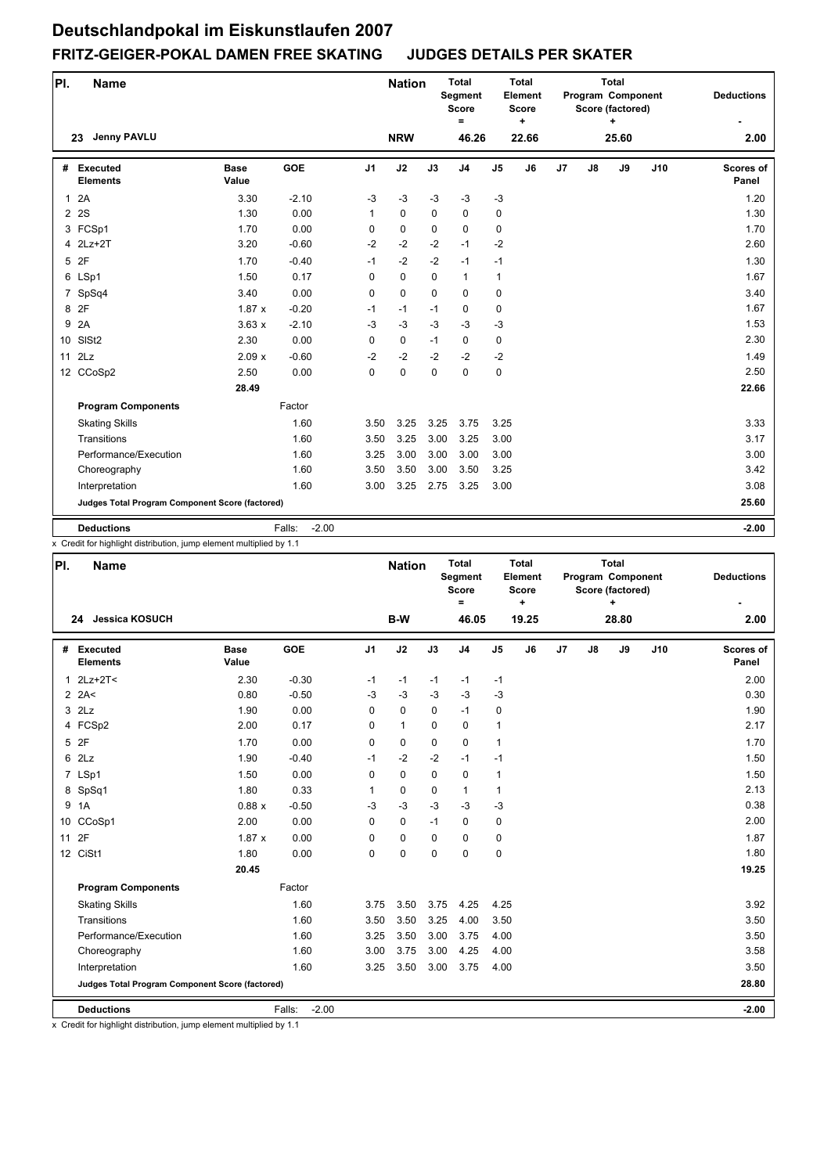| PI.            | <b>Name</b>                                     |                      |                   |                | <b>Nation</b> |             | <b>Total</b><br>Segment<br><b>Score</b><br>= |                | <b>Total</b><br>Element<br><b>Score</b><br>٠ |                |    | <b>Total</b><br>Program Component<br>Score (factored)<br>$\ddot{}$ |     | <b>Deductions</b>         |
|----------------|-------------------------------------------------|----------------------|-------------------|----------------|---------------|-------------|----------------------------------------------|----------------|----------------------------------------------|----------------|----|--------------------------------------------------------------------|-----|---------------------------|
|                | <b>Jenny PAVLU</b><br>23                        |                      |                   |                | <b>NRW</b>    |             | 46.26                                        |                | 22.66                                        |                |    | 25.60                                                              |     | 2.00                      |
| #              | Executed<br><b>Elements</b>                     | <b>Base</b><br>Value | <b>GOE</b>        | J <sub>1</sub> | J2            | J3          | J <sub>4</sub>                               | J <sub>5</sub> | J6                                           | J <sub>7</sub> | J8 | J9                                                                 | J10 | <b>Scores of</b><br>Panel |
| $\mathbf{1}$   | 2A                                              | 3.30                 | $-2.10$           | $-3$           | $-3$          | $-3$        | $-3$                                         | $-3$           |                                              |                |    |                                                                    |     | 1.20                      |
| $\overline{2}$ | 2S                                              | 1.30                 | 0.00              | 1              | $\mathbf 0$   | 0           | $\mathbf 0$                                  | 0              |                                              |                |    |                                                                    |     | 1.30                      |
|                | 3 FCSp1                                         | 1.70                 | 0.00              | 0              | $\mathbf 0$   | $\Omega$    | $\Omega$                                     | 0              |                                              |                |    |                                                                    |     | 1.70                      |
| 4              | $2Lz+2T$                                        | 3.20                 | $-0.60$           | $-2$           | $-2$          | $-2$        | $-1$                                         | $-2$           |                                              |                |    |                                                                    |     | 2.60                      |
|                | 5 2F                                            | 1.70                 | $-0.40$           | $-1$           | $-2$          | $-2$        | $-1$                                         | $-1$           |                                              |                |    |                                                                    |     | 1.30                      |
|                | 6 LSp1                                          | 1.50                 | 0.17              | $\Omega$       | $\mathbf 0$   | $\mathbf 0$ | $\mathbf{1}$                                 | $\mathbf{1}$   |                                              |                |    |                                                                    |     | 1.67                      |
|                | 7 SpSq4                                         | 3.40                 | 0.00              | $\mathbf 0$    | $\mathbf 0$   | $\mathbf 0$ | $\mathbf 0$                                  | 0              |                                              |                |    |                                                                    |     | 3.40                      |
|                | 8 2F                                            | 1.87x                | $-0.20$           | $-1$           | $-1$          | $-1$        | $\mathbf 0$                                  | 0              |                                              |                |    |                                                                    |     | 1.67                      |
| 9              | 2A                                              | 3.63x                | $-2.10$           | $-3$           | $-3$          | $-3$        | $-3$                                         | $-3$           |                                              |                |    |                                                                    |     | 1.53                      |
|                | 10 SISt2                                        | 2.30                 | 0.00              | $\mathbf 0$    | $\mathbf 0$   | $-1$        | $\mathbf 0$                                  | 0              |                                              |                |    |                                                                    |     | 2.30                      |
| 11             | 2Lz                                             | 2.09x                | $-0.60$           | $-2$           | $-2$          | $-2$        | $-2$                                         | $-2$           |                                              |                |    |                                                                    |     | 1.49                      |
|                | 12 CCoSp2                                       | 2.50                 | 0.00              | 0              | $\mathbf 0$   | $\mathbf 0$ | $\mathbf 0$                                  | 0              |                                              |                |    |                                                                    |     | 2.50                      |
|                |                                                 | 28.49                |                   |                |               |             |                                              |                |                                              |                |    |                                                                    |     | 22.66                     |
|                | <b>Program Components</b>                       |                      | Factor            |                |               |             |                                              |                |                                              |                |    |                                                                    |     |                           |
|                | <b>Skating Skills</b>                           |                      | 1.60              | 3.50           | 3.25          | 3.25        | 3.75                                         | 3.25           |                                              |                |    |                                                                    |     | 3.33                      |
|                | Transitions                                     |                      | 1.60              | 3.50           | 3.25          | 3.00        | 3.25                                         | 3.00           |                                              |                |    |                                                                    |     | 3.17                      |
|                | Performance/Execution                           |                      | 1.60              | 3.25           | 3.00          | 3.00        | 3.00                                         | 3.00           |                                              |                |    |                                                                    |     | 3.00                      |
|                | Choreography                                    |                      | 1.60              | 3.50           | 3.50          | 3.00        | 3.50                                         | 3.25           |                                              |                |    |                                                                    |     | 3.42                      |
|                | Interpretation                                  |                      | 1.60              | 3.00           | 3.25          | 2.75        | 3.25                                         | 3.00           |                                              |                |    |                                                                    |     | 3.08                      |
|                | Judges Total Program Component Score (factored) |                      |                   |                |               |             |                                              |                |                                              |                |    |                                                                    |     | 25.60                     |
|                | <b>Deductions</b>                               |                      | $-2.00$<br>Falls: |                |               |             |                                              |                |                                              |                |    |                                                                    |     | $-2.00$                   |

x Credit for highlight distribution, jump element multiplied by 1.1

| PI. | <b>Name</b>                                     |                      |                   |                | <b>Nation</b> |             | <b>Total</b><br>Segment<br><b>Score</b><br>Ξ |                | <b>Total</b><br>Element<br><b>Score</b><br>$\ddot{}$ |                |    | <b>Total</b><br>Program Component<br>Score (factored)<br>÷ |     | <b>Deductions</b>         |
|-----|-------------------------------------------------|----------------------|-------------------|----------------|---------------|-------------|----------------------------------------------|----------------|------------------------------------------------------|----------------|----|------------------------------------------------------------|-----|---------------------------|
|     | 24 Jessica KOSUCH                               |                      |                   |                | B-W           |             | 46.05                                        |                | 19.25                                                |                |    | 28.80                                                      |     | 2.00                      |
|     | # Executed<br><b>Elements</b>                   | <b>Base</b><br>Value | <b>GOE</b>        | J <sub>1</sub> | J2            | J3          | J <sub>4</sub>                               | J <sub>5</sub> | J6                                                   | J <sub>7</sub> | J8 | J9                                                         | J10 | <b>Scores of</b><br>Panel |
|     | $1$ $2Lz+2T<$                                   | 2.30                 | $-0.30$           | $-1$           | $-1$          | $-1$        | $-1$                                         | -1             |                                                      |                |    |                                                            |     | 2.00                      |
|     | $2$ 2A<                                         | 0.80                 | $-0.50$           | $-3$           | $-3$          | $-3$        | $-3$                                         | $-3$           |                                                      |                |    |                                                            |     | 0.30                      |
|     | $3$ $2Lz$                                       | 1.90                 | 0.00              | 0              | $\mathbf 0$   | $\mathbf 0$ | $-1$                                         | 0              |                                                      |                |    |                                                            |     | 1.90                      |
|     | 4 FCSp2                                         | 2.00                 | 0.17              | 0              | $\mathbf{1}$  | $\Omega$    | $\mathbf 0$                                  | 1              |                                                      |                |    |                                                            |     | 2.17                      |
|     | 5 2F                                            | 1.70                 | 0.00              | 0              | $\mathbf 0$   | $\mathbf 0$ | $\mathbf 0$                                  | 1              |                                                      |                |    |                                                            |     | 1.70                      |
|     | 62Lz                                            | 1.90                 | $-0.40$           | $-1$           | $-2$          | $-2$        | $-1$                                         | $-1$           |                                                      |                |    |                                                            |     | 1.50                      |
|     | 7 LSp1                                          | 1.50                 | 0.00              | 0              | $\mathbf 0$   | $\mathbf 0$ | $\mathbf 0$                                  | $\mathbf{1}$   |                                                      |                |    |                                                            |     | 1.50                      |
|     | 8 SpSq1                                         | 1.80                 | 0.33              | 1              | $\pmb{0}$     | $\mathbf 0$ | 1                                            | $\mathbf{1}$   |                                                      |                |    |                                                            |     | 2.13                      |
| 9   | 1A                                              | 0.88x                | $-0.50$           | $-3$           | $-3$          | $-3$        | $-3$                                         | $-3$           |                                                      |                |    |                                                            |     | 0.38                      |
|     | 10 CCoSp1                                       | 2.00                 | 0.00              | 0              | 0             | $-1$        | $\Omega$                                     | $\pmb{0}$      |                                                      |                |    |                                                            |     | 2.00                      |
| 11  | 2F                                              | 1.87x                | 0.00              | 0              | 0             | $\Omega$    | $\Omega$                                     | 0              |                                                      |                |    |                                                            |     | 1.87                      |
|     | 12 CiSt1                                        | 1.80                 | 0.00              | 0              | $\mathbf 0$   | $\Omega$    | $\Omega$                                     | $\pmb{0}$      |                                                      |                |    |                                                            |     | 1.80                      |
|     |                                                 | 20.45                |                   |                |               |             |                                              |                |                                                      |                |    |                                                            |     | 19.25                     |
|     | <b>Program Components</b>                       |                      | Factor            |                |               |             |                                              |                |                                                      |                |    |                                                            |     |                           |
|     | <b>Skating Skills</b>                           |                      | 1.60              | 3.75           | 3.50          | 3.75        | 4.25                                         | 4.25           |                                                      |                |    |                                                            |     | 3.92                      |
|     | Transitions                                     |                      | 1.60              | 3.50           | 3.50          | 3.25        | 4.00                                         | 3.50           |                                                      |                |    |                                                            |     | 3.50                      |
|     | Performance/Execution                           |                      | 1.60              | 3.25           | 3.50          | 3.00        | 3.75                                         | 4.00           |                                                      |                |    |                                                            |     | 3.50                      |
|     | Choreography                                    |                      | 1.60              | 3.00           | 3.75          | 3.00        | 4.25                                         | 4.00           |                                                      |                |    |                                                            |     | 3.58                      |
|     | Interpretation                                  |                      | 1.60              | 3.25           | 3.50          | 3.00        | 3.75                                         | 4.00           |                                                      |                |    |                                                            |     | 3.50                      |
|     | Judges Total Program Component Score (factored) |                      |                   |                |               |             |                                              |                |                                                      |                |    |                                                            |     | 28.80                     |
|     | <b>Deductions</b>                               |                      | $-2.00$<br>Falls: |                |               |             |                                              |                |                                                      |                |    |                                                            |     | $-2.00$                   |